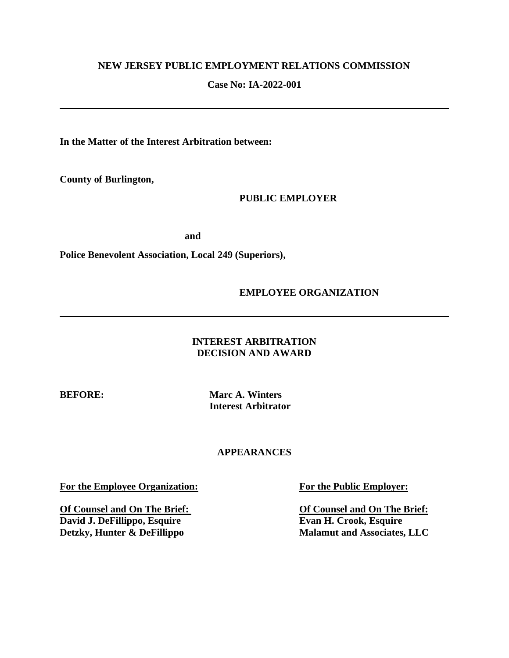# **NEW JERSEY PUBLIC EMPLOYMENT RELATIONS COMMISSION**

# **Case No: IA-2022-001**

**In the Matter of the Interest Arbitration between:**

**County of Burlington,**

**PUBLIC EMPLOYER**

 **and**

**Police Benevolent Association, Local 249 (Superiors),**

**EMPLOYEE ORGANIZATION**

# **INTEREST ARBITRATION DECISION AND AWARD**

**BEFORE: Marc A. Winters Interest Arbitrator**

# **APPEARANCES**

**For the Employee Organization: For the Public Employer:**

**Of Counsel and On The Brief: Of Counsel and On The Brief: David J. DeFillippo, Esquire Evan H. Crook, Esquire Detzky, Hunter & DeFillippo Malamut and Associates.** 

**Malamut and Associates, LLC**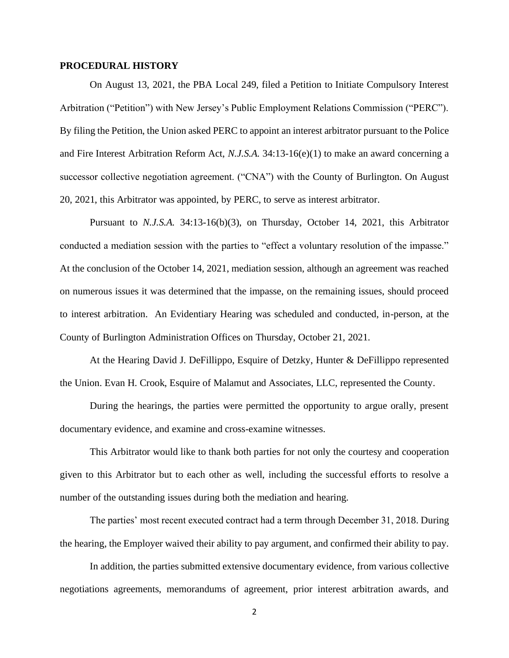#### **PROCEDURAL HISTORY**

On August 13, 2021, the PBA Local 249, filed a Petition to Initiate Compulsory Interest Arbitration ("Petition") with New Jersey's Public Employment Relations Commission ("PERC"). By filing the Petition, the Union asked PERC to appoint an interest arbitrator pursuant to the Police and Fire Interest Arbitration Reform Act, *N.J.S.A.* 34:13-16(e)(1) to make an award concerning a successor collective negotiation agreement. ("CNA") with the County of Burlington. On August 20, 2021, this Arbitrator was appointed, by PERC, to serve as interest arbitrator.

Pursuant to *N.J.S.A.* 34:13-16(b)(3), on Thursday, October 14, 2021, this Arbitrator conducted a mediation session with the parties to "effect a voluntary resolution of the impasse." At the conclusion of the October 14, 2021, mediation session, although an agreement was reached on numerous issues it was determined that the impasse, on the remaining issues, should proceed to interest arbitration. An Evidentiary Hearing was scheduled and conducted, in-person, at the County of Burlington Administration Offices on Thursday, October 21, 2021.

At the Hearing David J. DeFillippo, Esquire of Detzky, Hunter & DeFillippo represented the Union. Evan H. Crook, Esquire of Malamut and Associates, LLC, represented the County.

During the hearings, the parties were permitted the opportunity to argue orally, present documentary evidence, and examine and cross-examine witnesses.

This Arbitrator would like to thank both parties for not only the courtesy and cooperation given to this Arbitrator but to each other as well, including the successful efforts to resolve a number of the outstanding issues during both the mediation and hearing.

The parties' most recent executed contract had a term through December 31, 2018. During the hearing, the Employer waived their ability to pay argument, and confirmed their ability to pay.

In addition, the parties submitted extensive documentary evidence, from various collective negotiations agreements, memorandums of agreement, prior interest arbitration awards, and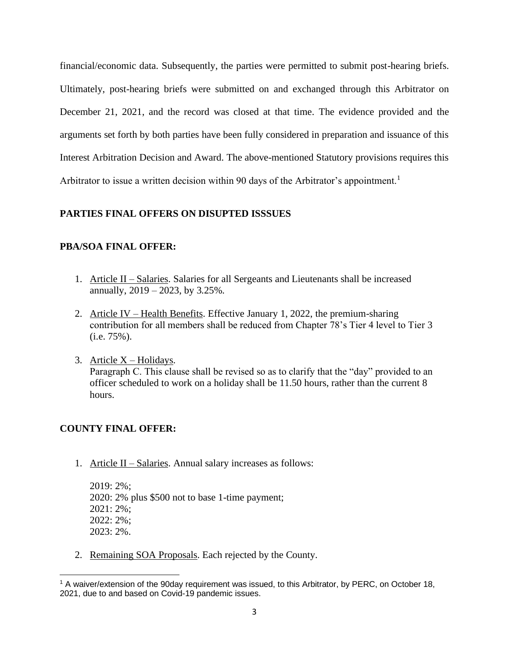financial/economic data. Subsequently, the parties were permitted to submit post-hearing briefs. Ultimately, post-hearing briefs were submitted on and exchanged through this Arbitrator on December 21, 2021, and the record was closed at that time. The evidence provided and the arguments set forth by both parties have been fully considered in preparation and issuance of this Interest Arbitration Decision and Award. The above-mentioned Statutory provisions requires this Arbitrator to issue a written decision within 90 days of the Arbitrator's appointment.<sup>1</sup>

# **PARTIES FINAL OFFERS ON DISUPTED ISSSUES**

# **PBA/SOA FINAL OFFER:**

- 1. Article II Salaries. Salaries for all Sergeants and Lieutenants shall be increased annually, 2019 – 2023, by 3.25%.
- 2. Article IV Health Benefits. Effective January 1, 2022, the premium-sharing contribution for all members shall be reduced from Chapter 78's Tier 4 level to Tier 3 (i.e. 75%).
- 3. Article  $X$  Holidays.

Paragraph C. This clause shall be revised so as to clarify that the "day" provided to an officer scheduled to work on a holiday shall be 11.50 hours, rather than the current 8 hours.

# **COUNTY FINAL OFFER:**

1. Article II – Salaries. Annual salary increases as follows:

2019: 2%; 2020: 2% plus \$500 not to base 1-time payment; 2021: 2%; 2022: 2%; 2023: 2%.

2. Remaining SOA Proposals. Each rejected by the County.

<sup>&</sup>lt;sup>1</sup> A waiver/extension of the 90day requirement was issued, to this Arbitrator, by PERC, on October 18, 2021, due to and based on Covid-19 pandemic issues.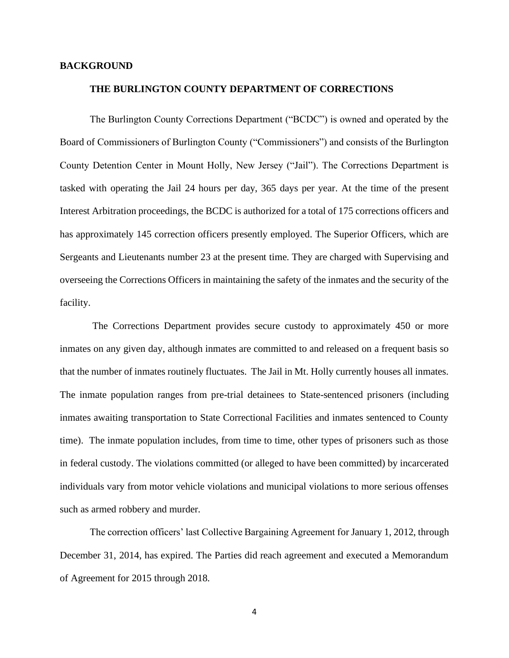### **BACKGROUND**

#### **THE BURLINGTON COUNTY DEPARTMENT OF CORRECTIONS**

The Burlington County Corrections Department ("BCDC") is owned and operated by the Board of Commissioners of Burlington County ("Commissioners") and consists of the Burlington County Detention Center in Mount Holly, New Jersey ("Jail"). The Corrections Department is tasked with operating the Jail 24 hours per day, 365 days per year. At the time of the present Interest Arbitration proceedings, the BCDC is authorized for a total of 175 corrections officers and has approximately 145 correction officers presently employed. The Superior Officers, which are Sergeants and Lieutenants number 23 at the present time. They are charged with Supervising and overseeing the Corrections Officers in maintaining the safety of the inmates and the security of the facility.

The Corrections Department provides secure custody to approximately 450 or more inmates on any given day, although inmates are committed to and released on a frequent basis so that the number of inmates routinely fluctuates. The Jail in Mt. Holly currently houses all inmates. The inmate population ranges from pre-trial detainees to State-sentenced prisoners (including inmates awaiting transportation to State Correctional Facilities and inmates sentenced to County time). The inmate population includes, from time to time, other types of prisoners such as those in federal custody. The violations committed (or alleged to have been committed) by incarcerated individuals vary from motor vehicle violations and municipal violations to more serious offenses such as armed robbery and murder.

The correction officers' last Collective Bargaining Agreement for January 1, 2012, through December 31, 2014, has expired. The Parties did reach agreement and executed a Memorandum of Agreement for 2015 through 2018.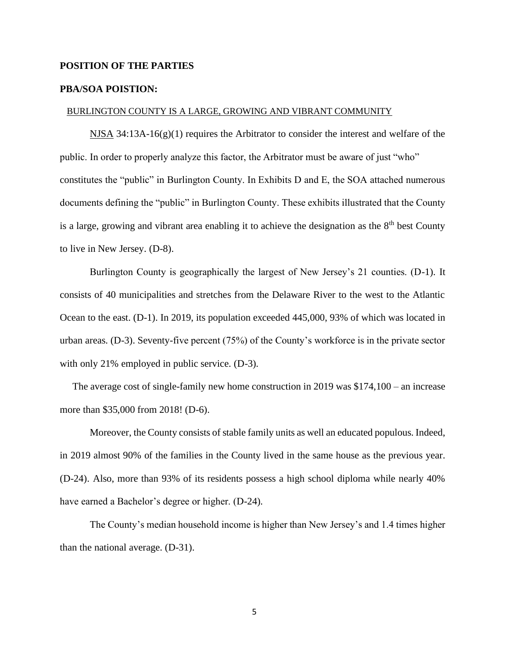### **POSITION OF THE PARTIES**

### **PBA/SOA POISTION:**

#### BURLINGTON COUNTY IS A LARGE, GROWING AND VIBRANT COMMUNITY

NJSA 34:13A-16(g)(1) requires the Arbitrator to consider the interest and welfare of the public. In order to properly analyze this factor, the Arbitrator must be aware of just "who" constitutes the "public" in Burlington County. In Exhibits D and E, the SOA attached numerous documents defining the "public" in Burlington County. These exhibits illustrated that the County is a large, growing and vibrant area enabling it to achieve the designation as the  $8<sup>th</sup>$  best County to live in New Jersey. (D-8).

 Burlington County is geographically the largest of New Jersey's 21 counties. (D-1). It consists of 40 municipalities and stretches from the Delaware River to the west to the Atlantic Ocean to the east. (D-1). In 2019, its population exceeded 445,000, 93% of which was located in urban areas. (D-3). Seventy-five percent (75%) of the County's workforce is in the private sector with only 21% employed in public service. (D-3).

 The average cost of single-family new home construction in 2019 was \$174,100 – an increase more than \$35,000 from 2018! (D-6).

 Moreover, the County consists of stable family units as well an educated populous. Indeed, in 2019 almost 90% of the families in the County lived in the same house as the previous year. (D-24). Also, more than 93% of its residents possess a high school diploma while nearly 40% have earned a Bachelor's degree or higher. (D-24).

 The County's median household income is higher than New Jersey's and 1.4 times higher than the national average. (D-31).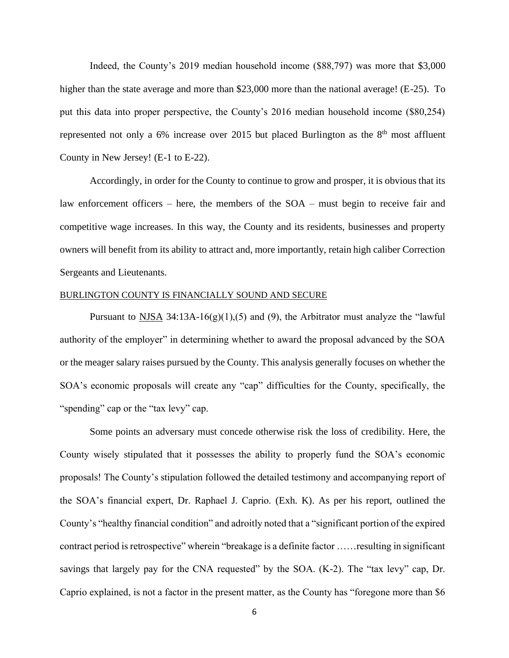Indeed, the County's 2019 median household income (\$88,797) was more that \$3,000 higher than the state average and more than \$23,000 more than the national average! (E-25). To put this data into proper perspective, the County's 2016 median household income (\$80,254) represented not only a  $6\%$  increase over 2015 but placed Burlington as the  $8<sup>th</sup>$  most affluent County in New Jersey! (E-1 to E-22).

 Accordingly, in order for the County to continue to grow and prosper, it is obvious that its law enforcement officers – here, the members of the SOA – must begin to receive fair and competitive wage increases. In this way, the County and its residents, businesses and property owners will benefit from its ability to attract and, more importantly, retain high caliber Correction Sergeants and Lieutenants.

### BURLINGTON COUNTY IS FINANCIALLY SOUND AND SECURE

Pursuant to NJSA 34:13A-16(g)(1),(5) and (9), the Arbitrator must analyze the "lawful authority of the employer" in determining whether to award the proposal advanced by the SOA or the meager salary raises pursued by the County. This analysis generally focuses on whether the SOA's economic proposals will create any "cap" difficulties for the County, specifically, the "spending" cap or the "tax levy" cap.

 Some points an adversary must concede otherwise risk the loss of credibility. Here, the County wisely stipulated that it possesses the ability to properly fund the SOA's economic proposals! The County's stipulation followed the detailed testimony and accompanying report of the SOA's financial expert, Dr. Raphael J. Caprio. (Exh. K). As per his report, outlined the County's "healthy financial condition" and adroitly noted that a "significant portion of the expired contract period is retrospective" wherein "breakage is a definite factor ……resulting in significant savings that largely pay for the CNA requested" by the SOA. (K-2). The "tax levy" cap, Dr. Caprio explained, is not a factor in the present matter, as the County has "foregone more than \$6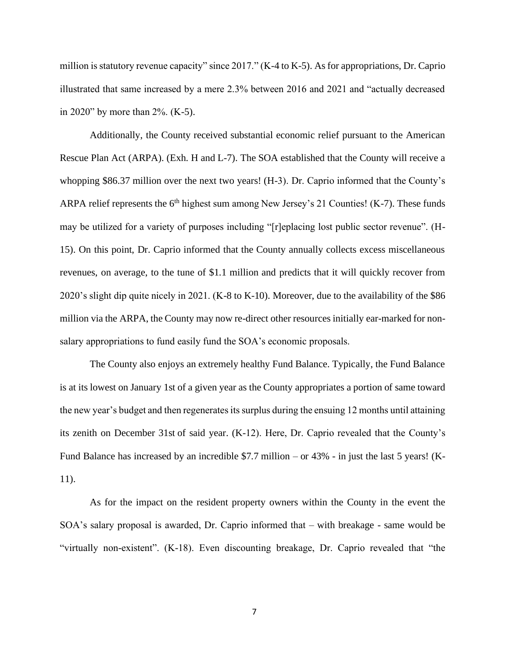million is statutory revenue capacity" since 2017." (K-4 to K-5). As for appropriations, Dr. Caprio illustrated that same increased by a mere 2.3% between 2016 and 2021 and "actually decreased in 2020" by more than 2%. (K-5).

 Additionally, the County received substantial economic relief pursuant to the American Rescue Plan Act (ARPA). (Exh. H and L-7). The SOA established that the County will receive a whopping \$86.37 million over the next two years! (H-3). Dr. Caprio informed that the County's ARPA relief represents the  $6<sup>th</sup>$  highest sum among New Jersey's 21 Counties! (K-7). These funds may be utilized for a variety of purposes including "[r]eplacing lost public sector revenue". (H-15). On this point, Dr. Caprio informed that the County annually collects excess miscellaneous revenues, on average, to the tune of \$1.1 million and predicts that it will quickly recover from 2020's slight dip quite nicely in 2021. (K-8 to K-10). Moreover, due to the availability of the \$86 million via the ARPA, the County may now re-direct other resources initially ear-marked for nonsalary appropriations to fund easily fund the SOA's economic proposals.

 The County also enjoys an extremely healthy Fund Balance. Typically, the Fund Balance is at its lowest on January 1st of a given year as the County appropriates a portion of same toward the new year's budget and then regenerates its surplus during the ensuing 12 months until attaining its zenith on December 31st of said year. (K-12). Here, Dr. Caprio revealed that the County's Fund Balance has increased by an incredible \$7.7 million – or 43% - in just the last 5 years! (K-11).

 As for the impact on the resident property owners within the County in the event the SOA's salary proposal is awarded, Dr. Caprio informed that – with breakage - same would be "virtually non-existent". (K-18). Even discounting breakage, Dr. Caprio revealed that "the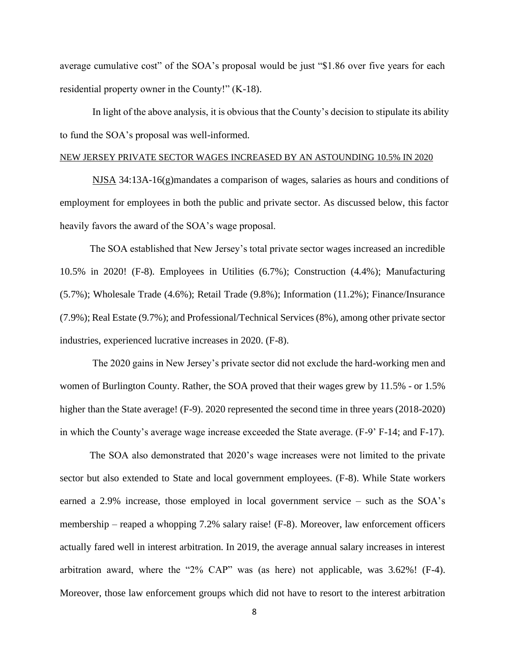average cumulative cost" of the SOA's proposal would be just "\$1.86 over five years for each residential property owner in the County!" (K-18).

 In light of the above analysis, it is obvious that the County's decision to stipulate its ability to fund the SOA's proposal was well-informed.

### NEW JERSEY PRIVATE SECTOR WAGES INCREASED BY AN ASTOUNDING 10.5% IN 2020

 NJSA 34:13A-16(g)mandates a comparison of wages, salaries as hours and conditions of employment for employees in both the public and private sector. As discussed below, this factor heavily favors the award of the SOA's wage proposal.

 The SOA established that New Jersey's total private sector wages increased an incredible 10.5% in 2020! (F-8). Employees in Utilities (6.7%); Construction (4.4%); Manufacturing (5.7%); Wholesale Trade (4.6%); Retail Trade (9.8%); Information (11.2%); Finance/Insurance (7.9%); Real Estate (9.7%); and Professional/Technical Services (8%), among other private sector industries, experienced lucrative increases in 2020. (F-8).

 The 2020 gains in New Jersey's private sector did not exclude the hard-working men and women of Burlington County. Rather, the SOA proved that their wages grew by 11.5% - or 1.5% higher than the State average! (F-9). 2020 represented the second time in three years (2018-2020) in which the County's average wage increase exceeded the State average. (F-9' F-14; and F-17).

 The SOA also demonstrated that 2020's wage increases were not limited to the private sector but also extended to State and local government employees. (F-8). While State workers earned a 2.9% increase, those employed in local government service – such as the SOA's membership – reaped a whopping 7.2% salary raise! (F-8). Moreover, law enforcement officers actually fared well in interest arbitration. In 2019, the average annual salary increases in interest arbitration award, where the "2% CAP" was (as here) not applicable, was 3.62%! (F-4). Moreover, those law enforcement groups which did not have to resort to the interest arbitration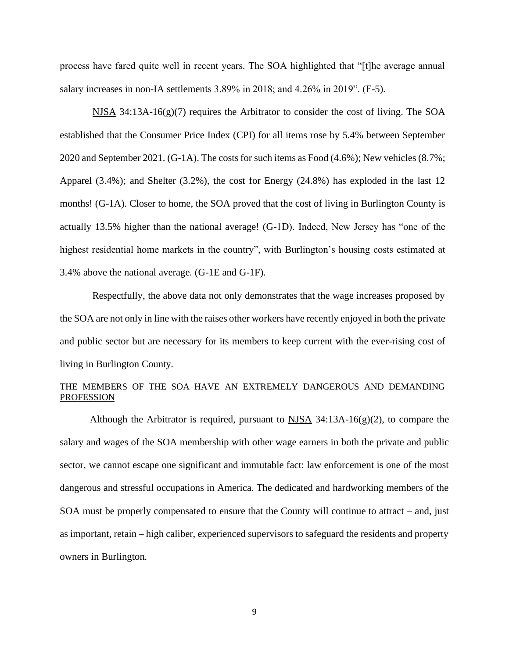process have fared quite well in recent years. The SOA highlighted that "[t]he average annual salary increases in non-IA settlements 3.89% in 2018; and 4.26% in 2019". (F-5).

NJSA 34:13A-16(g)(7) requires the Arbitrator to consider the cost of living. The SOA established that the Consumer Price Index (CPI) for all items rose by 5.4% between September 2020 and September 2021. (G-1A). The costs for such items as Food (4.6%); New vehicles (8.7%; Apparel (3.4%); and Shelter (3.2%), the cost for Energy (24.8%) has exploded in the last 12 months! (G-1A). Closer to home, the SOA proved that the cost of living in Burlington County is actually 13.5% higher than the national average! (G-1D). Indeed, New Jersey has "one of the highest residential home markets in the country", with Burlington's housing costs estimated at 3.4% above the national average. (G-1E and G-1F).

 Respectfully, the above data not only demonstrates that the wage increases proposed by the SOA are not only in line with the raises other workers have recently enjoyed in both the private and public sector but are necessary for its members to keep current with the ever-rising cost of living in Burlington County.

### THE MEMBERS OF THE SOA HAVE AN EXTREMELY DANGEROUS AND DEMANDING PROFESSION

Although the Arbitrator is required, pursuant to  $NISA$  34:13A-16(g)(2), to compare the salary and wages of the SOA membership with other wage earners in both the private and public sector, we cannot escape one significant and immutable fact: law enforcement is one of the most dangerous and stressful occupations in America. The dedicated and hardworking members of the SOA must be properly compensated to ensure that the County will continue to attract – and, just as important, retain – high caliber, experienced supervisors to safeguard the residents and property owners in Burlington.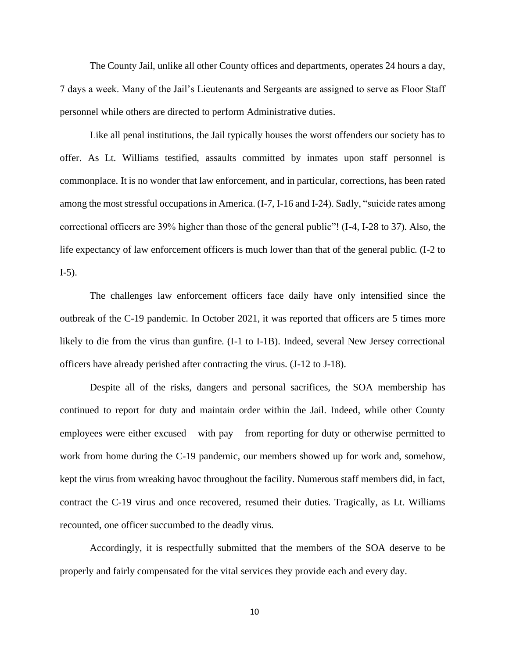The County Jail, unlike all other County offices and departments, operates 24 hours a day, 7 days a week. Many of the Jail's Lieutenants and Sergeants are assigned to serve as Floor Staff personnel while others are directed to perform Administrative duties.

 Like all penal institutions, the Jail typically houses the worst offenders our society has to offer. As Lt. Williams testified, assaults committed by inmates upon staff personnel is commonplace. It is no wonder that law enforcement, and in particular, corrections, has been rated among the most stressful occupations in America. (I-7, I-16 and I-24). Sadly, "suicide rates among correctional officers are 39% higher than those of the general public"! (I-4, I-28 to 37). Also, the life expectancy of law enforcement officers is much lower than that of the general public. (I-2 to I-5).

 The challenges law enforcement officers face daily have only intensified since the outbreak of the C-19 pandemic. In October 2021, it was reported that officers are 5 times more likely to die from the virus than gunfire. (I-1 to I-1B). Indeed, several New Jersey correctional officers have already perished after contracting the virus. (J-12 to J-18).

 Despite all of the risks, dangers and personal sacrifices, the SOA membership has continued to report for duty and maintain order within the Jail. Indeed, while other County employees were either excused – with pay – from reporting for duty or otherwise permitted to work from home during the C-19 pandemic, our members showed up for work and, somehow, kept the virus from wreaking havoc throughout the facility. Numerous staff members did, in fact, contract the C-19 virus and once recovered, resumed their duties. Tragically, as Lt. Williams recounted, one officer succumbed to the deadly virus.

 Accordingly, it is respectfully submitted that the members of the SOA deserve to be properly and fairly compensated for the vital services they provide each and every day.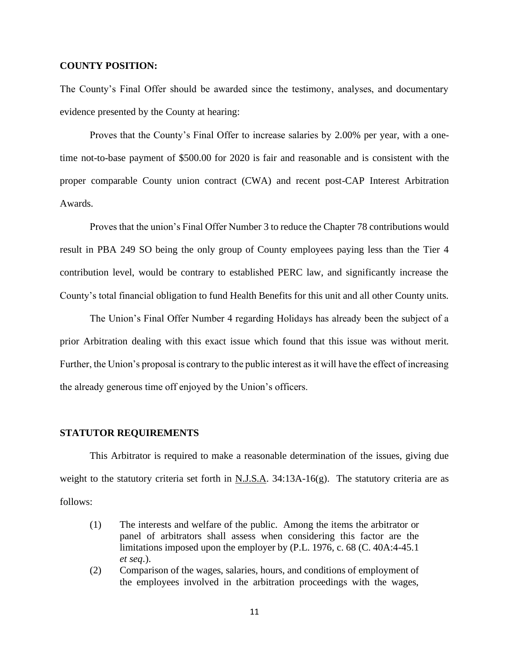### **COUNTY POSITION:**

The County's Final Offer should be awarded since the testimony, analyses, and documentary evidence presented by the County at hearing:

Proves that the County's Final Offer to increase salaries by 2.00% per year, with a onetime not-to-base payment of \$500.00 for 2020 is fair and reasonable and is consistent with the proper comparable County union contract (CWA) and recent post-CAP Interest Arbitration Awards.

Proves that the union's Final Offer Number 3 to reduce the Chapter 78 contributions would result in PBA 249 SO being the only group of County employees paying less than the Tier 4 contribution level, would be contrary to established PERC law, and significantly increase the County's total financial obligation to fund Health Benefits for this unit and all other County units.

The Union's Final Offer Number 4 regarding Holidays has already been the subject of a prior Arbitration dealing with this exact issue which found that this issue was without merit. Further, the Union's proposal is contrary to the public interest as it will have the effect of increasing the already generous time off enjoyed by the Union's officers.

#### **STATUTOR REQUIREMENTS**

This Arbitrator is required to make a reasonable determination of the issues, giving due weight to the statutory criteria set forth in N.J.S.A. 34:13A-16(g). The statutory criteria are as follows:

- (1) The interests and welfare of the public. Among the items the arbitrator or panel of arbitrators shall assess when considering this factor are the limitations imposed upon the employer by (P.L. 1976, c. 68 (C. 40A:4-45.1 *et seq*.).
- (2) Comparison of the wages, salaries, hours, and conditions of employment of the employees involved in the arbitration proceedings with the wages,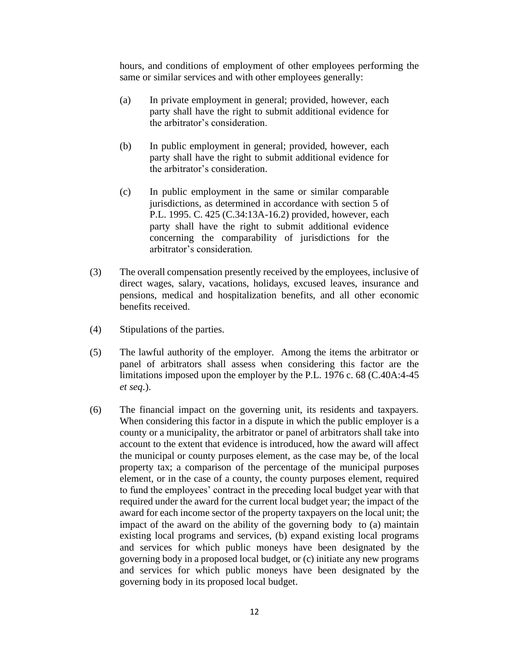hours, and conditions of employment of other employees performing the same or similar services and with other employees generally:

- (a) In private employment in general; provided, however, each party shall have the right to submit additional evidence for the arbitrator's consideration.
- (b) In public employment in general; provided, however, each party shall have the right to submit additional evidence for the arbitrator's consideration.
- (c) In public employment in the same or similar comparable jurisdictions, as determined in accordance with section 5 of P.L. 1995. C. 425 (C.34:13A-16.2) provided, however, each party shall have the right to submit additional evidence concerning the comparability of jurisdictions for the arbitrator's consideration.
- (3) The overall compensation presently received by the employees, inclusive of direct wages, salary, vacations, holidays, excused leaves, insurance and pensions, medical and hospitalization benefits, and all other economic benefits received.
- (4) Stipulations of the parties.
- (5) The lawful authority of the employer. Among the items the arbitrator or panel of arbitrators shall assess when considering this factor are the limitations imposed upon the employer by the P.L. 1976 c. 68 (C.40A:4-45 *et seq*.).
- (6) The financial impact on the governing unit, its residents and taxpayers. When considering this factor in a dispute in which the public employer is a county or a municipality, the arbitrator or panel of arbitrators shall take into account to the extent that evidence is introduced, how the award will affect the municipal or county purposes element, as the case may be, of the local property tax; a comparison of the percentage of the municipal purposes element, or in the case of a county, the county purposes element, required to fund the employees' contract in the preceding local budget year with that required under the award for the current local budget year; the impact of the award for each income sector of the property taxpayers on the local unit; the impact of the award on the ability of the governing body to (a) maintain existing local programs and services, (b) expand existing local programs and services for which public moneys have been designated by the governing body in a proposed local budget, or (c) initiate any new programs and services for which public moneys have been designated by the governing body in its proposed local budget.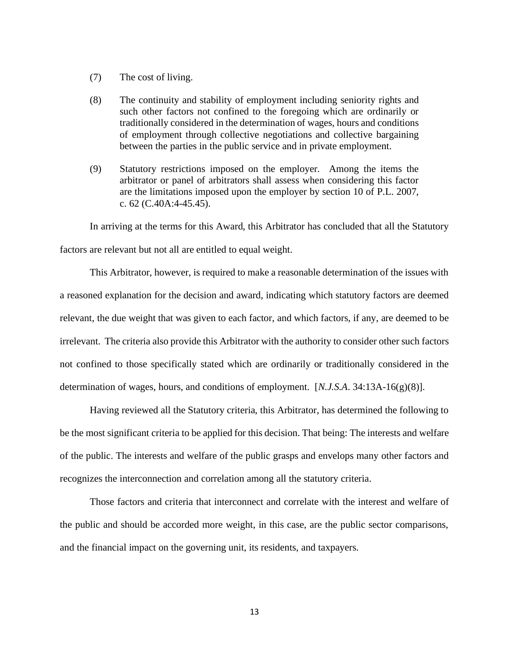- (7) The cost of living.
- (8) The continuity and stability of employment including seniority rights and such other factors not confined to the foregoing which are ordinarily or traditionally considered in the determination of wages, hours and conditions of employment through collective negotiations and collective bargaining between the parties in the public service and in private employment.
- (9) Statutory restrictions imposed on the employer. Among the items the arbitrator or panel of arbitrators shall assess when considering this factor are the limitations imposed upon the employer by section 10 of P.L. 2007, c. 62 (C.40A:4-45.45).

In arriving at the terms for this Award, this Arbitrator has concluded that all the Statutory factors are relevant but not all are entitled to equal weight.

This Arbitrator, however, is required to make a reasonable determination of the issues with a reasoned explanation for the decision and award, indicating which statutory factors are deemed relevant, the due weight that was given to each factor, and which factors, if any, are deemed to be irrelevant. The criteria also provide this Arbitrator with the authority to consider other such factors not confined to those specifically stated which are ordinarily or traditionally considered in the determination of wages, hours, and conditions of employment. [*N.J.S.A*. 34:13A-16(g)(8)].

Having reviewed all the Statutory criteria, this Arbitrator, has determined the following to be the most significant criteria to be applied for this decision. That being: The interests and welfare of the public. The interests and welfare of the public grasps and envelops many other factors and recognizes the interconnection and correlation among all the statutory criteria.

Those factors and criteria that interconnect and correlate with the interest and welfare of the public and should be accorded more weight, in this case, are the public sector comparisons, and the financial impact on the governing unit, its residents, and taxpayers.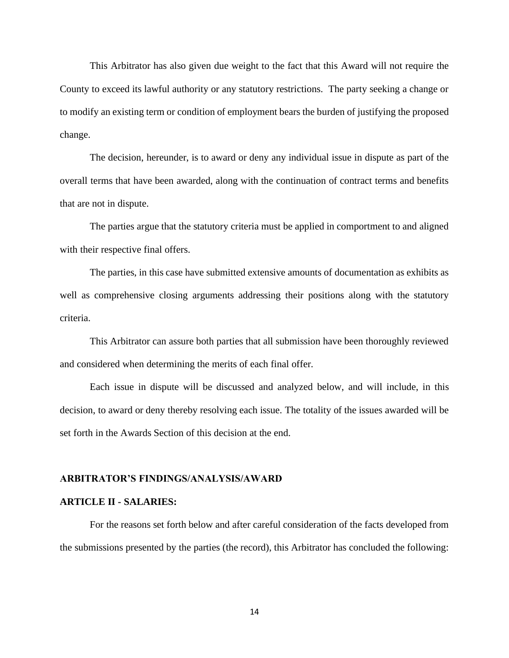This Arbitrator has also given due weight to the fact that this Award will not require the County to exceed its lawful authority or any statutory restrictions. The party seeking a change or to modify an existing term or condition of employment bears the burden of justifying the proposed change.

The decision, hereunder, is to award or deny any individual issue in dispute as part of the overall terms that have been awarded, along with the continuation of contract terms and benefits that are not in dispute.

The parties argue that the statutory criteria must be applied in comportment to and aligned with their respective final offers.

The parties, in this case have submitted extensive amounts of documentation as exhibits as well as comprehensive closing arguments addressing their positions along with the statutory criteria.

This Arbitrator can assure both parties that all submission have been thoroughly reviewed and considered when determining the merits of each final offer.

Each issue in dispute will be discussed and analyzed below, and will include, in this decision, to award or deny thereby resolving each issue. The totality of the issues awarded will be set forth in the Awards Section of this decision at the end.

### **ARBITRATOR'S FINDINGS/ANALYSIS/AWARD**

#### **ARTICLE II - SALARIES:**

For the reasons set forth below and after careful consideration of the facts developed from the submissions presented by the parties (the record), this Arbitrator has concluded the following:

14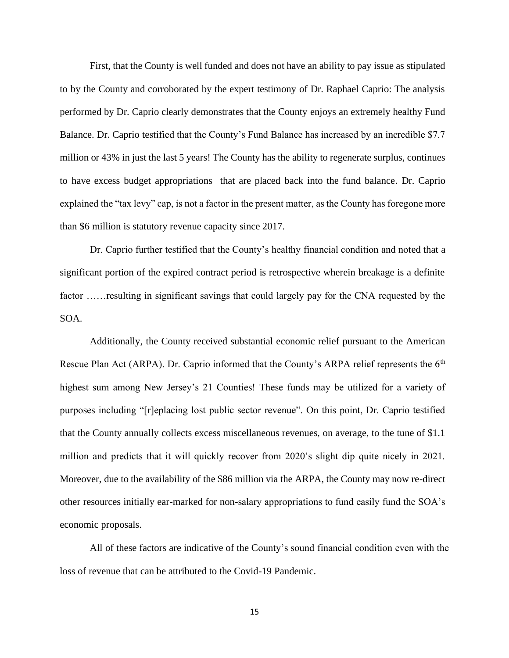First, that the County is well funded and does not have an ability to pay issue as stipulated to by the County and corroborated by the expert testimony of Dr. Raphael Caprio: The analysis performed by Dr. Caprio clearly demonstrates that the County enjoys an extremely healthy Fund Balance. Dr. Caprio testified that the County's Fund Balance has increased by an incredible \$7.7 million or 43% in just the last 5 years! The County has the ability to regenerate surplus, continues to have excess budget appropriations that are placed back into the fund balance. Dr. Caprio explained the "tax levy" cap, is not a factor in the present matter, as the County has foregone more than \$6 million is statutory revenue capacity since 2017.

Dr. Caprio further testified that the County's healthy financial condition and noted that a significant portion of the expired contract period is retrospective wherein breakage is a definite factor ……resulting in significant savings that could largely pay for the CNA requested by the SOA.

Additionally, the County received substantial economic relief pursuant to the American Rescue Plan Act (ARPA). Dr. Caprio informed that the County's ARPA relief represents the  $6<sup>th</sup>$ highest sum among New Jersey's 21 Counties! These funds may be utilized for a variety of purposes including "[r]eplacing lost public sector revenue". On this point, Dr. Caprio testified that the County annually collects excess miscellaneous revenues, on average, to the tune of \$1.1 million and predicts that it will quickly recover from 2020's slight dip quite nicely in 2021. Moreover, due to the availability of the \$86 million via the ARPA, the County may now re-direct other resources initially ear-marked for non-salary appropriations to fund easily fund the SOA's economic proposals.

All of these factors are indicative of the County's sound financial condition even with the loss of revenue that can be attributed to the Covid-19 Pandemic.

15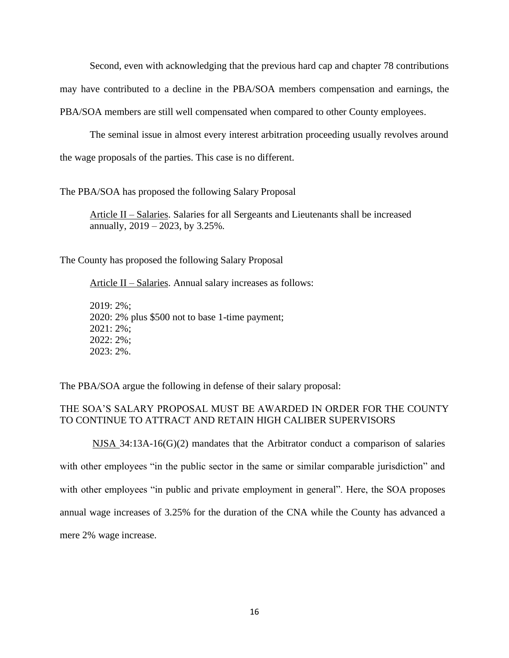Second, even with acknowledging that the previous hard cap and chapter 78 contributions may have contributed to a decline in the PBA/SOA members compensation and earnings, the PBA/SOA members are still well compensated when compared to other County employees.

The seminal issue in almost every interest arbitration proceeding usually revolves around the wage proposals of the parties. This case is no different.

The PBA/SOA has proposed the following Salary Proposal

Article II – Salaries. Salaries for all Sergeants and Lieutenants shall be increased annually, 2019 – 2023, by 3.25%.

The County has proposed the following Salary Proposal

Article II – Salaries. Annual salary increases as follows:

2019: 2%; 2020: 2% plus \$500 not to base 1-time payment; 2021: 2%; 2022: 2%; 2023: 2%.

The PBA/SOA argue the following in defense of their salary proposal:

# THE SOA'S SALARY PROPOSAL MUST BE AWARDED IN ORDER FOR THE COUNTY TO CONTINUE TO ATTRACT AND RETAIN HIGH CALIBER SUPERVISORS

NJSA  $34:13A-16(G)(2)$  mandates that the Arbitrator conduct a comparison of salaries with other employees "in the public sector in the same or similar comparable jurisdiction" and with other employees "in public and private employment in general". Here, the SOA proposes annual wage increases of 3.25% for the duration of the CNA while the County has advanced a mere 2% wage increase.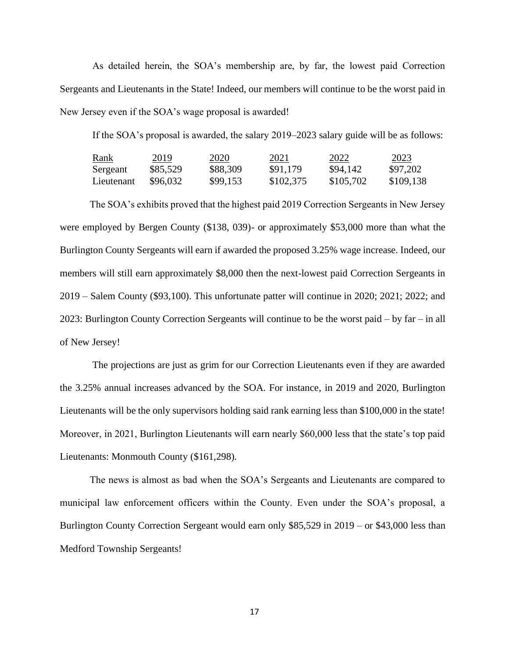As detailed herein, the SOA's membership are, by far, the lowest paid Correction Sergeants and Lieutenants in the State! Indeed, our members will continue to be the worst paid in New Jersey even if the SOA's wage proposal is awarded!

If the SOA's proposal is awarded, the salary 2019–2023 salary guide will be as follows:

| Rank       | 2019     | <u>2020</u> | 2021      | 2022      | 2023      |
|------------|----------|-------------|-----------|-----------|-----------|
| Sergeant   | \$85,529 | \$88,309    | \$91,179  | \$94,142  | \$97,202  |
| Lieutenant | \$96,032 | \$99,153    | \$102,375 | \$105,702 | \$109,138 |

The SOA's exhibits proved that the highest paid 2019 Correction Sergeants in New Jersey were employed by Bergen County (\$138, 039)- or approximately \$53,000 more than what the Burlington County Sergeants will earn if awarded the proposed 3.25% wage increase. Indeed, our members will still earn approximately \$8,000 then the next-lowest paid Correction Sergeants in 2019 – Salem County (\$93,100). This unfortunate patter will continue in 2020; 2021; 2022; and 2023: Burlington County Correction Sergeants will continue to be the worst paid – by far – in all of New Jersey!

 The projections are just as grim for our Correction Lieutenants even if they are awarded the 3.25% annual increases advanced by the SOA. For instance, in 2019 and 2020, Burlington Lieutenants will be the only supervisors holding said rank earning less than \$100,000 in the state! Moreover, in 2021, Burlington Lieutenants will earn nearly \$60,000 less that the state's top paid Lieutenants: Monmouth County (\$161,298).

 The news is almost as bad when the SOA's Sergeants and Lieutenants are compared to municipal law enforcement officers within the County. Even under the SOA's proposal, a Burlington County Correction Sergeant would earn only \$85,529 in 2019 – or \$43,000 less than Medford Township Sergeants!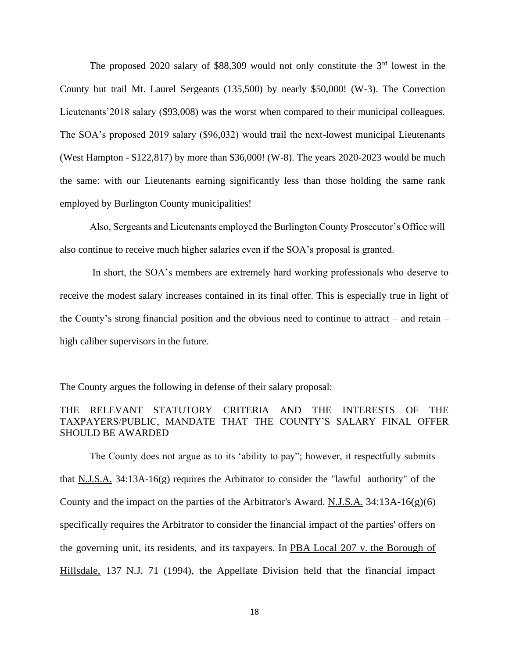The proposed 2020 salary of \$88,309 would not only constitute the  $3<sup>rd</sup>$  lowest in the County but trail Mt. Laurel Sergeants (135,500) by nearly \$50,000! (W-3). The Correction Lieutenants'2018 salary (\$93,008) was the worst when compared to their municipal colleagues. The SOA's proposed 2019 salary (\$96,032) would trail the next-lowest municipal Lieutenants (West Hampton - \$122,817) by more than \$36,000! (W-8). The years 2020-2023 would be much the same: with our Lieutenants earning significantly less than those holding the same rank employed by Burlington County municipalities!

 Also, Sergeants and Lieutenants employed the Burlington County Prosecutor's Office will also continue to receive much higher salaries even if the SOA's proposal is granted.

 In short, the SOA's members are extremely hard working professionals who deserve to receive the modest salary increases contained in its final offer. This is especially true in light of the County's strong financial position and the obvious need to continue to attract – and retain – high caliber supervisors in the future.

The County argues the following in defense of their salary proposal:

# THE RELEVANT STATUTORY CRITERIA AND THE INTERESTS OF THE TAXPAYERS/PUBLIC, MANDATE THAT THE COUNTY'S SALARY FINAL OFFER SHOULD BE AWARDED

The County does not argue as to its 'ability to pay"; however, it respectfully submits that  $N.J.S.A.$  34:13A-16(g) requires the Arbitrator to consider the "lawful authority" of the County and the impact on the parties of the Arbitrator's Award.  $N.I.S.A.$  34:13A-16(g)(6) specifically requires the Arbitrator to consider the financial impact of the parties' offers on the governing unit, its residents, and its taxpayers. In PBA Local 207 v. the Borough of Hillsdale, 137 N.J. 71 (1994), the Appellate Division held that the financial impact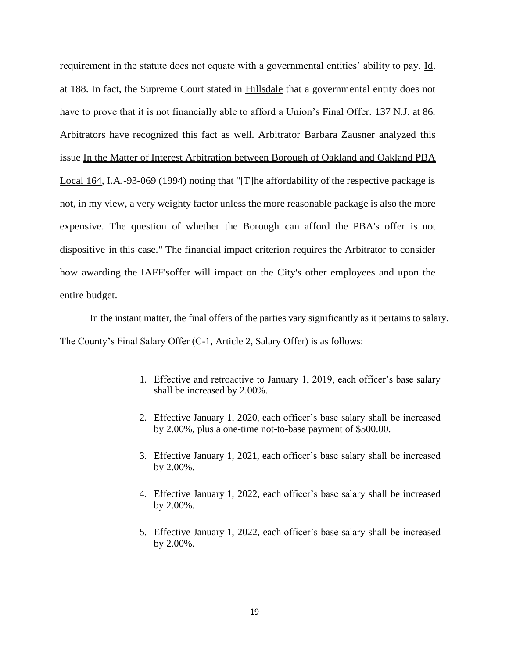requirement in the statute does not equate with a governmental entities' ability to pay. Id. at 188. In fact, the Supreme Court stated in Hillsdale that a governmental entity does not have to prove that it is not financially able to afford a Union's Final Offer. 137 N.J. at 86. Arbitrators have recognized this fact as well. Arbitrator Barbara Zausner analyzed this issue In the Matter of Interest Arbitration between Borough of Oakland and Oakland PBA Local 164, I.A.-93-069 (1994) noting that "[T]he affordability of the respective package is not, in my view, a very weighty factor unless the more reasonable package is also the more expensive. The question of whether the Borough can afford the PBA's offer is not dispositive in this case." The financial impact criterion requires the Arbitrator to consider how awarding the IAFF'soffer will impact on the City's other employees and upon the entire budget.

In the instant matter, the final offers of the parties vary significantly as it pertains to salary. The County's Final Salary Offer (C-1, Article 2, Salary Offer) is as follows:

- 1. Effective and retroactive to January 1, 2019, each officer's base salary shall be increased by 2.00%.
- 2. Effective January 1, 2020, each officer's base salary shall be increased by 2.00%, plus a one-time not-to-base payment of \$500.00.
- 3. Effective January 1, 2021, each officer's base salary shall be increased by 2.00%.
- 4. Effective January 1, 2022, each officer's base salary shall be increased by 2.00%.
- 5. Effective January 1, 2022, each officer's base salary shall be increased by 2.00%.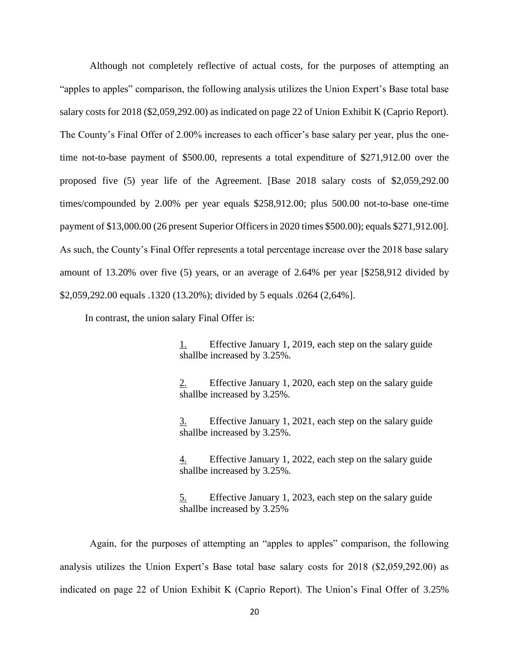Although not completely reflective of actual costs, for the purposes of attempting an "apples to apples" comparison, the following analysis utilizes the Union Expert's Base total base salary costs for 2018 (\$2,059,292.00) as indicated on page 22 of Union Exhibit K (Caprio Report). The County's Final Offer of 2.00% increases to each officer's base salary per year, plus the onetime not-to-base payment of \$500.00, represents a total expenditure of \$271,912.00 over the proposed five (5) year life of the Agreement. [Base 2018 salary costs of \$2,059,292.00 times/compounded by 2.00% per year equals \$258,912.00; plus 500.00 not-to-base one-time payment of \$13,000.00 (26 present Superior Officers in 2020 times \$500.00); equals \$271,912.00]. As such, the County's Final Offer represents a total percentage increase over the 2018 base salary amount of 13.20% over five (5) years, or an average of 2.64% per year [\$258,912 divided by \$2,059,292.00 equals .1320 (13.20%); divided by 5 equals .0264 (2,64%].

In contrast, the union salary Final Offer is:

1. Effective January 1, 2019, each step on the salary guide shallbe increased by 3.25%.

2. Effective January 1, 2020, each step on the salary guide shallbe increased by 3.25%.

3. Effective January 1, 2021, each step on the salary guide shallbe increased by 3.25%.

4. Effective January 1, 2022, each step on the salary guide shallbe increased by 3.25%.

5. Effective January 1, 2023, each step on the salary guide shallbe increased by 3.25%

Again, for the purposes of attempting an "apples to apples" comparison, the following analysis utilizes the Union Expert's Base total base salary costs for 2018 (\$2,059,292.00) as indicated on page 22 of Union Exhibit K (Caprio Report). The Union's Final Offer of 3.25%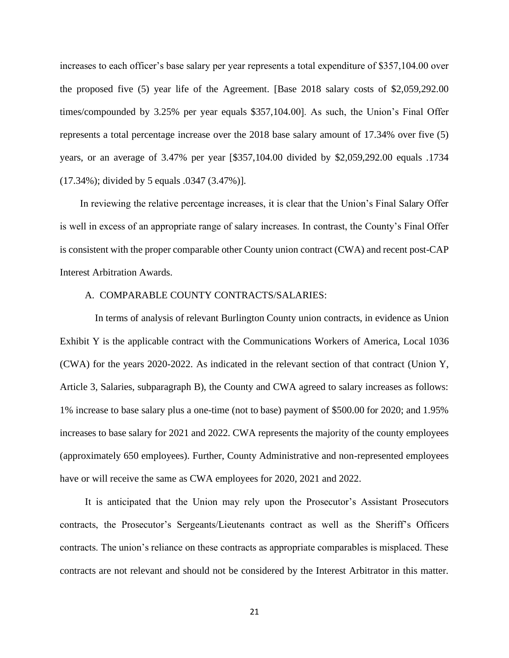increases to each officer's base salary per year represents a total expenditure of \$357,104.00 over the proposed five (5) year life of the Agreement. [Base 2018 salary costs of \$2,059,292.00 times/compounded by 3.25% per year equals \$357,104.00]. As such, the Union's Final Offer represents a total percentage increase over the 2018 base salary amount of 17.34% over five (5) years, or an average of 3.47% per year [\$357,104.00 divided by \$2,059,292.00 equals .1734 (17.34%); divided by 5 equals .0347 (3.47%)].

 In reviewing the relative percentage increases, it is clear that the Union's Final Salary Offer is well in excess of an appropriate range of salary increases. In contrast, the County's Final Offer is consistent with the proper comparable other County union contract (CWA) and recent post-CAP Interest Arbitration Awards.

### A. COMPARABLE COUNTY CONTRACTS/SALARIES:

 In terms of analysis of relevant Burlington County union contracts, in evidence as Union Exhibit Y is the applicable contract with the Communications Workers of America, Local 1036 (CWA) for the years 2020-2022. As indicated in the relevant section of that contract (Union Y, Article 3, Salaries, subparagraph B), the County and CWA agreed to salary increases as follows: 1% increase to base salary plus a one-time (not to base) payment of \$500.00 for 2020; and 1.95% increases to base salary for 2021 and 2022. CWA represents the majority of the county employees (approximately 650 employees). Further, County Administrative and non-represented employees have or will receive the same as CWA employees for 2020, 2021 and 2022.

 It is anticipated that the Union may rely upon the Prosecutor's Assistant Prosecutors contracts, the Prosecutor's Sergeants/Lieutenants contract as well as the Sheriff's Officers contracts. The union's reliance on these contracts as appropriate comparables is misplaced. These contracts are not relevant and should not be considered by the Interest Arbitrator in this matter.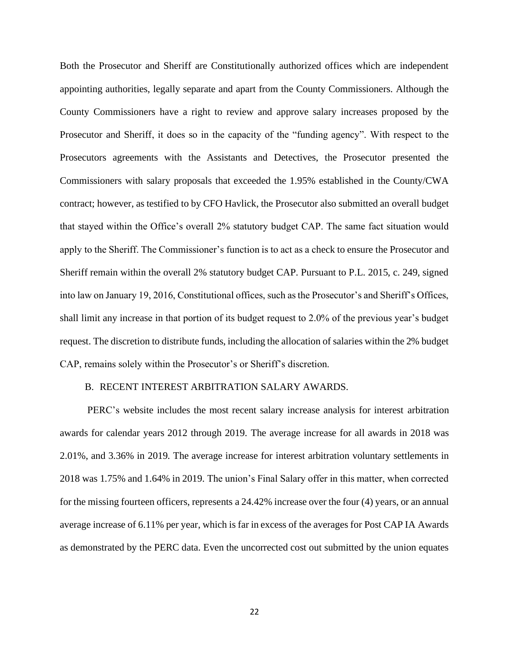Both the Prosecutor and Sheriff are Constitutionally authorized offices which are independent appointing authorities, legally separate and apart from the County Commissioners. Although the County Commissioners have a right to review and approve salary increases proposed by the Prosecutor and Sheriff, it does so in the capacity of the "funding agency". With respect to the Prosecutors agreements with the Assistants and Detectives, the Prosecutor presented the Commissioners with salary proposals that exceeded the 1.95% established in the County/CWA contract; however, as testified to by CFO Havlick, the Prosecutor also submitted an overall budget that stayed within the Office's overall 2% statutory budget CAP. The same fact situation would apply to the Sheriff. The Commissioner's function is to act as a check to ensure the Prosecutor and Sheriff remain within the overall 2% statutory budget CAP. Pursuant to P.L. 2015, c. 249, signed into law on January 19, 2016, Constitutional offices, such as the Prosecutor's and Sheriff's Offices, shall limit any increase in that portion of its budget request to 2.0% of the previous year's budget request. The discretion to distribute funds, including the allocation of salaries within the 2% budget CAP, remains solely within the Prosecutor's or Sheriff's discretion.

### B. RECENT INTEREST ARBITRATION SALARY AWARDS.

 PERC's website includes the most recent salary increase analysis for interest arbitration awards for calendar years 2012 through 2019. The average increase for all awards in 2018 was 2.01%, and 3.36% in 2019. The average increase for interest arbitration voluntary settlements in 2018 was 1.75% and 1.64% in 2019. The union's Final Salary offer in this matter, when corrected for the missing fourteen officers, represents a 24.42% increase over the four (4) years, or an annual average increase of 6.11% per year, which is far in excess of the averages for Post CAP IA Awards as demonstrated by the PERC data. Even the uncorrected cost out submitted by the union equates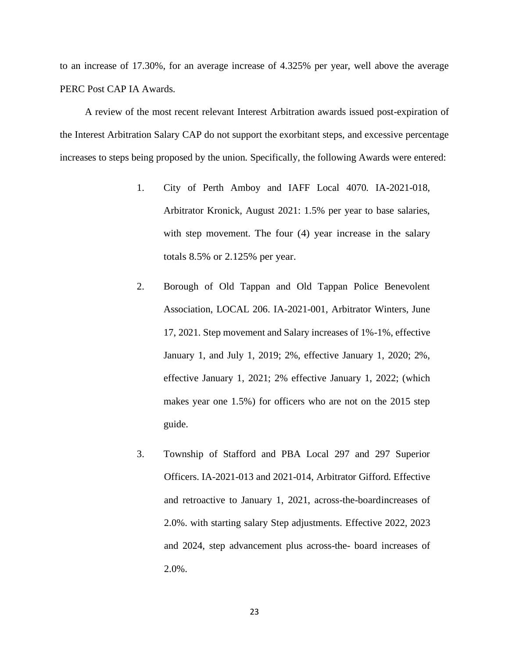to an increase of 17.30%, for an average increase of 4.325% per year, well above the average PERC Post CAP IA Awards.

 A review of the most recent relevant Interest Arbitration awards issued post-expiration of the Interest Arbitration Salary CAP do not support the exorbitant steps, and excessive percentage increases to steps being proposed by the union. Specifically, the following Awards were entered:

- 1. City of Perth Amboy and IAFF Local 4070. IA-2021-018, Arbitrator Kronick, August 2021: 1.5% per year to base salaries, with step movement. The four (4) year increase in the salary totals 8.5% or 2.125% per year.
- 2. Borough of Old Tappan and Old Tappan Police Benevolent Association, LOCAL 206. IA-2021-001, Arbitrator Winters, June 17, 2021. Step movement and Salary increases of 1%-1%, effective January 1, and July 1, 2019; 2%, effective January 1, 2020; 2%, effective January 1, 2021; 2% effective January 1, 2022; (which makes year one 1.5%) for officers who are not on the 2015 step guide.
- 3. Township of Stafford and PBA Local 297 and 297 Superior Officers. IA-2021-013 and 2021-014, Arbitrator Gifford. Effective and retroactive to January 1, 2021, across-the-boardincreases of 2.0%. with starting salary Step adjustments. Effective 2022, 2023 and 2024, step advancement plus across-the- board increases of 2.0%.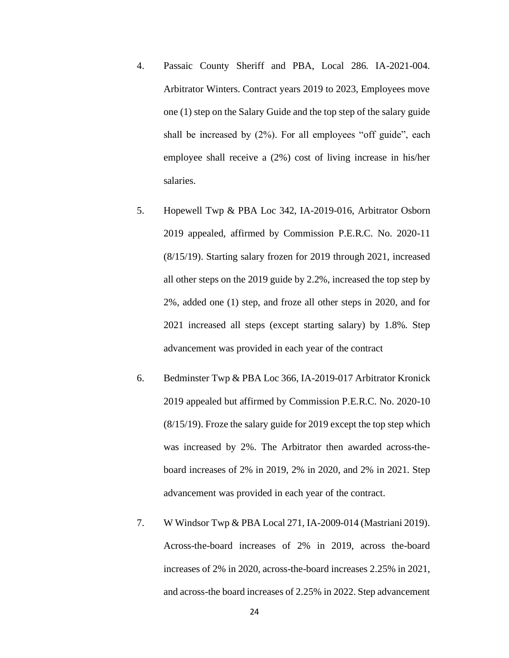- 4. Passaic County Sheriff and PBA, Local 286. IA-2021-004. Arbitrator Winters. Contract years 2019 to 2023, Employees move one (1) step on the Salary Guide and the top step of the salary guide shall be increased by (2%). For all employees "off guide", each employee shall receive a (2%) cost of living increase in his/her salaries.
- 5. Hopewell Twp & PBA Loc 342, IA-2019-016, Arbitrator Osborn 2019 appealed, affirmed by Commission P.E.R.C. No. 2020-11 (8/15/19). Starting salary frozen for 2019 through 2021, increased all other steps on the 2019 guide by 2.2%, increased the top step by 2%, added one (1) step, and froze all other steps in 2020, and for 2021 increased all steps (except starting salary) by 1.8%. Step advancement was provided in each year of the contract
- 6. Bedminster Twp & PBA Loc 366, IA-2019-017 Arbitrator Kronick 2019 appealed but affirmed by Commission P.E.R.C. No. 2020-10 (8/15/19). Froze the salary guide for 2019 except the top step which was increased by 2%. The Arbitrator then awarded across-theboard increases of 2% in 2019, 2% in 2020, and 2% in 2021. Step advancement was provided in each year of the contract.
- 7. W Windsor Twp & PBA Local 271, IA-2009-014 (Mastriani 2019). Across-the-board increases of 2% in 2019, across the-board increases of 2% in 2020, across-the-board increases 2.25% in 2021, and across-the board increases of 2.25% in 2022. Step advancement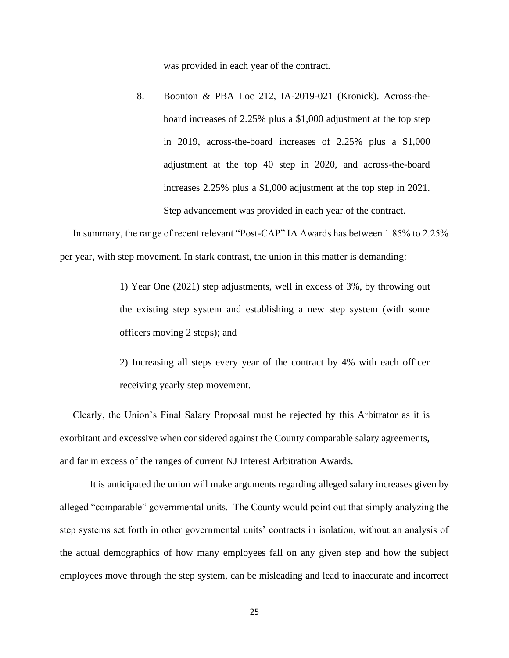was provided in each year of the contract.

8. Boonton & PBA Loc 212, IA-2019-021 (Kronick). Across-theboard increases of 2.25% plus a \$1,000 adjustment at the top step in 2019, across-the-board increases of 2.25% plus a \$1,000 adjustment at the top 40 step in 2020, and across-the-board increases 2.25% plus a \$1,000 adjustment at the top step in 2021. Step advancement was provided in each year of the contract.

 In summary, the range of recent relevant "Post-CAP" IA Awards has between 1.85% to 2.25% per year, with step movement. In stark contrast, the union in this matter is demanding:

> 1) Year One (2021) step adjustments, well in excess of 3%, by throwing out the existing step system and establishing a new step system (with some officers moving 2 steps); and

> 2) Increasing all steps every year of the contract by 4% with each officer receiving yearly step movement.

 Clearly, the Union's Final Salary Proposal must be rejected by this Arbitrator as it is exorbitant and excessive when considered against the County comparable salary agreements, and far in excess of the ranges of current NJ Interest Arbitration Awards.

It is anticipated the union will make arguments regarding alleged salary increases given by alleged "comparable" governmental units. The County would point out that simply analyzing the step systems set forth in other governmental units' contracts in isolation, without an analysis of the actual demographics of how many employees fall on any given step and how the subject employees move through the step system, can be misleading and lead to inaccurate and incorrect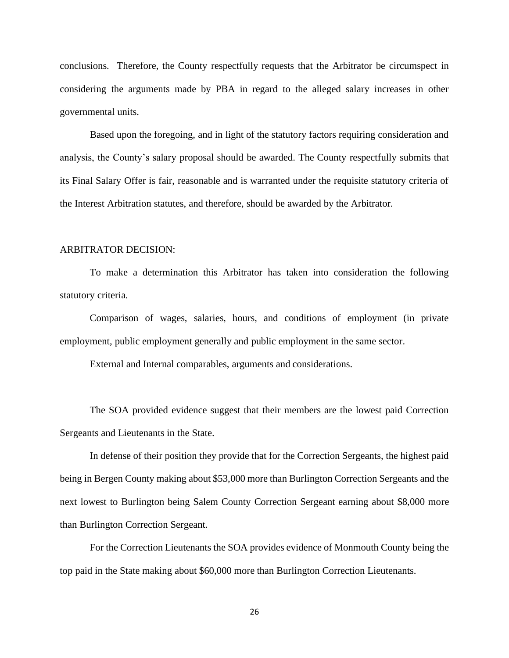conclusions. Therefore, the County respectfully requests that the Arbitrator be circumspect in considering the arguments made by PBA in regard to the alleged salary increases in other governmental units.

 Based upon the foregoing, and in light of the statutory factors requiring consideration and analysis, the County's salary proposal should be awarded. The County respectfully submits that its Final Salary Offer is fair, reasonable and is warranted under the requisite statutory criteria of the Interest Arbitration statutes, and therefore, should be awarded by the Arbitrator.

#### ARBITRATOR DECISION:

To make a determination this Arbitrator has taken into consideration the following statutory criteria.

Comparison of wages, salaries, hours, and conditions of employment (in private employment, public employment generally and public employment in the same sector.

External and Internal comparables, arguments and considerations.

The SOA provided evidence suggest that their members are the lowest paid Correction Sergeants and Lieutenants in the State.

In defense of their position they provide that for the Correction Sergeants, the highest paid being in Bergen County making about \$53,000 more than Burlington Correction Sergeants and the next lowest to Burlington being Salem County Correction Sergeant earning about \$8,000 more than Burlington Correction Sergeant.

For the Correction Lieutenants the SOA provides evidence of Monmouth County being the top paid in the State making about \$60,000 more than Burlington Correction Lieutenants.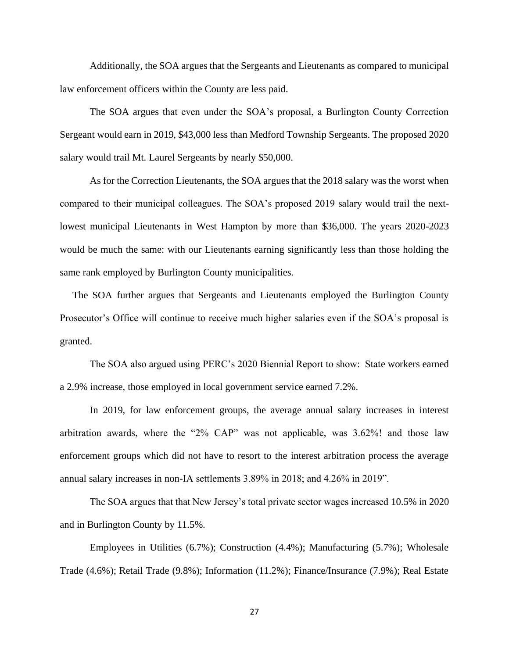Additionally, the SOA argues that the Sergeants and Lieutenants as compared to municipal law enforcement officers within the County are less paid.

The SOA argues that even under the SOA's proposal, a Burlington County Correction Sergeant would earn in 2019, \$43,000 less than Medford Township Sergeants. The proposed 2020 salary would trail Mt. Laurel Sergeants by nearly \$50,000.

As for the Correction Lieutenants, the SOA argues that the 2018 salary was the worst when compared to their municipal colleagues. The SOA's proposed 2019 salary would trail the nextlowest municipal Lieutenants in West Hampton by more than \$36,000. The years 2020-2023 would be much the same: with our Lieutenants earning significantly less than those holding the same rank employed by Burlington County municipalities.

 The SOA further argues that Sergeants and Lieutenants employed the Burlington County Prosecutor's Office will continue to receive much higher salaries even if the SOA's proposal is granted.

The SOA also argued using PERC's 2020 Biennial Report to show: State workers earned a 2.9% increase, those employed in local government service earned 7.2%.

In 2019, for law enforcement groups, the average annual salary increases in interest arbitration awards, where the "2% CAP" was not applicable, was 3.62%! and those law enforcement groups which did not have to resort to the interest arbitration process the average annual salary increases in non-IA settlements 3.89% in 2018; and 4.26% in 2019".

The SOA argues that that New Jersey's total private sector wages increased 10.5% in 2020 and in Burlington County by 11.5%.

Employees in Utilities (6.7%); Construction (4.4%); Manufacturing (5.7%); Wholesale Trade (4.6%); Retail Trade (9.8%); Information (11.2%); Finance/Insurance (7.9%); Real Estate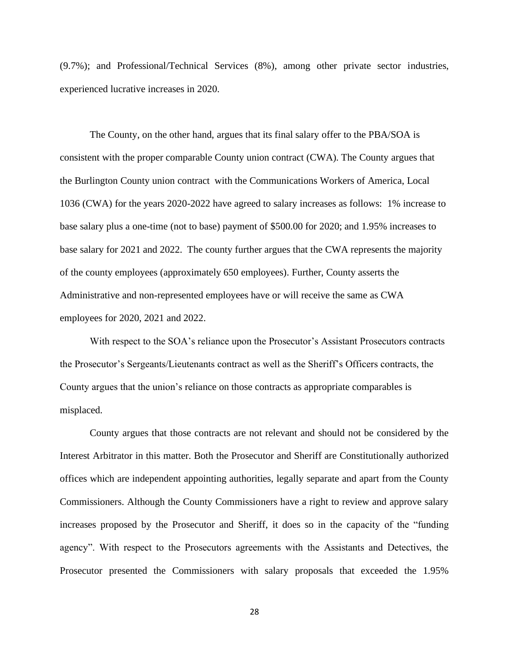(9.7%); and Professional/Technical Services (8%), among other private sector industries, experienced lucrative increases in 2020.

The County, on the other hand, argues that its final salary offer to the PBA/SOA is consistent with the proper comparable County union contract (CWA). The County argues that the Burlington County union contract with the Communications Workers of America, Local 1036 (CWA) for the years 2020-2022 have agreed to salary increases as follows: 1% increase to base salary plus a one-time (not to base) payment of \$500.00 for 2020; and 1.95% increases to base salary for 2021 and 2022. The county further argues that the CWA represents the majority of the county employees (approximately 650 employees). Further, County asserts the Administrative and non-represented employees have or will receive the same as CWA employees for 2020, 2021 and 2022.

With respect to the SOA's reliance upon the Prosecutor's Assistant Prosecutors contracts the Prosecutor's Sergeants/Lieutenants contract as well as the Sheriff's Officers contracts, the County argues that the union's reliance on those contracts as appropriate comparables is misplaced.

County argues that those contracts are not relevant and should not be considered by the Interest Arbitrator in this matter. Both the Prosecutor and Sheriff are Constitutionally authorized offices which are independent appointing authorities, legally separate and apart from the County Commissioners. Although the County Commissioners have a right to review and approve salary increases proposed by the Prosecutor and Sheriff, it does so in the capacity of the "funding agency". With respect to the Prosecutors agreements with the Assistants and Detectives, the Prosecutor presented the Commissioners with salary proposals that exceeded the 1.95%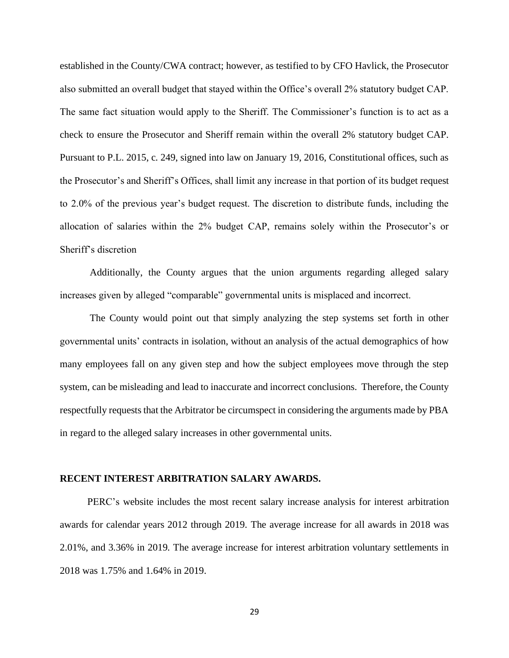established in the County/CWA contract; however, as testified to by CFO Havlick, the Prosecutor also submitted an overall budget that stayed within the Office's overall 2% statutory budget CAP. The same fact situation would apply to the Sheriff. The Commissioner's function is to act as a check to ensure the Prosecutor and Sheriff remain within the overall 2% statutory budget CAP. Pursuant to P.L. 2015, c. 249, signed into law on January 19, 2016, Constitutional offices, such as the Prosecutor's and Sheriff's Offices, shall limit any increase in that portion of its budget request to 2.0% of the previous year's budget request. The discretion to distribute funds, including the allocation of salaries within the 2% budget CAP, remains solely within the Prosecutor's or Sheriff's discretion

Additionally, the County argues that the union arguments regarding alleged salary increases given by alleged "comparable" governmental units is misplaced and incorrect.

The County would point out that simply analyzing the step systems set forth in other governmental units' contracts in isolation, without an analysis of the actual demographics of how many employees fall on any given step and how the subject employees move through the step system, can be misleading and lead to inaccurate and incorrect conclusions. Therefore, the County respectfully requests that the Arbitrator be circumspect in considering the arguments made by PBA in regard to the alleged salary increases in other governmental units.

#### **RECENT INTEREST ARBITRATION SALARY AWARDS.**

 PERC's website includes the most recent salary increase analysis for interest arbitration awards for calendar years 2012 through 2019. The average increase for all awards in 2018 was 2.01%, and 3.36% in 2019. The average increase for interest arbitration voluntary settlements in 2018 was 1.75% and 1.64% in 2019.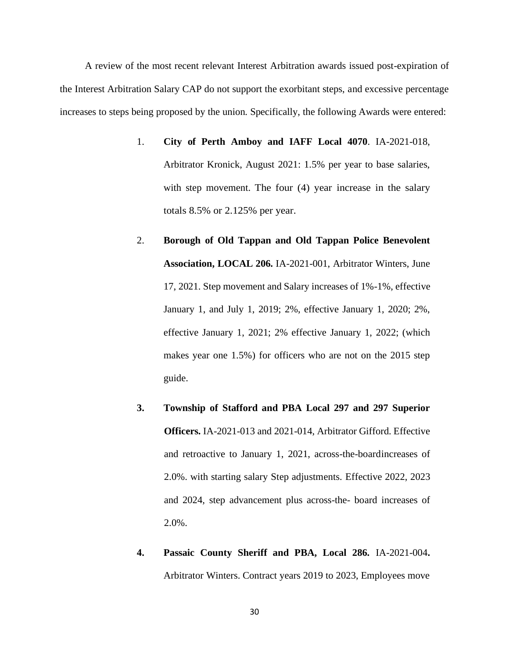A review of the most recent relevant Interest Arbitration awards issued post-expiration of the Interest Arbitration Salary CAP do not support the exorbitant steps, and excessive percentage increases to steps being proposed by the union. Specifically, the following Awards were entered:

- 1. **City of Perth Amboy and IAFF Local 4070**. IA-2021-018, Arbitrator Kronick, August 2021: 1.5% per year to base salaries, with step movement. The four (4) year increase in the salary totals 8.5% or 2.125% per year.
- 2. **Borough of Old Tappan and Old Tappan Police Benevolent Association, LOCAL 206.** IA-2021-001, Arbitrator Winters, June 17, 2021. Step movement and Salary increases of 1%-1%, effective January 1, and July 1, 2019; 2%, effective January 1, 2020; 2%, effective January 1, 2021; 2% effective January 1, 2022; (which makes year one 1.5%) for officers who are not on the 2015 step guide.
- **3. Township of Stafford and PBA Local 297 and 297 Superior Officers.** IA-2021-013 and 2021-014, Arbitrator Gifford. Effective and retroactive to January 1, 2021, across-the-boardincreases of 2.0%. with starting salary Step adjustments. Effective 2022, 2023 and 2024, step advancement plus across-the- board increases of 2.0%.
- **4. Passaic County Sheriff and PBA, Local 286.** IA-2021-004**.**  Arbitrator Winters. Contract years 2019 to 2023, Employees move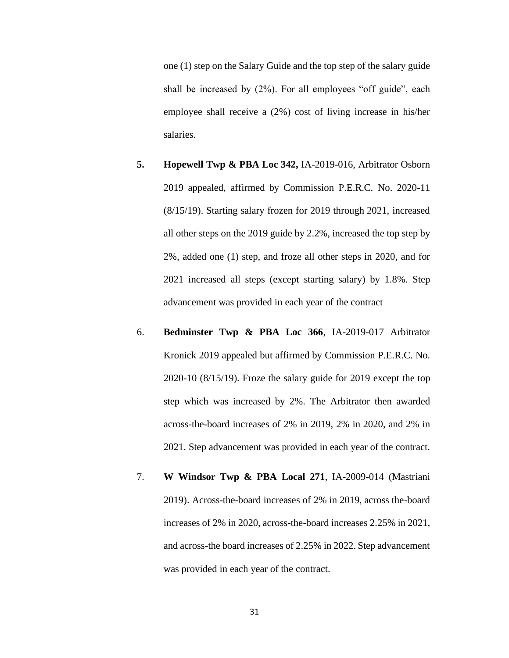one (1) step on the Salary Guide and the top step of the salary guide shall be increased by (2%). For all employees "off guide", each employee shall receive a (2%) cost of living increase in his/her salaries.

- **5. Hopewell Twp & PBA Loc 342,** IA-2019-016, Arbitrator Osborn 2019 appealed, affirmed by Commission P.E.R.C. No. 2020-11 (8/15/19). Starting salary frozen for 2019 through 2021, increased all other steps on the 2019 guide by 2.2%, increased the top step by 2%, added one (1) step, and froze all other steps in 2020, and for 2021 increased all steps (except starting salary) by 1.8%. Step advancement was provided in each year of the contract
- 6. **Bedminster Twp & PBA Loc 366**, IA-2019-017 Arbitrator Kronick 2019 appealed but affirmed by Commission P.E.R.C. No. 2020-10 (8/15/19). Froze the salary guide for 2019 except the top step which was increased by 2%. The Arbitrator then awarded across-the-board increases of 2% in 2019, 2% in 2020, and 2% in 2021. Step advancement was provided in each year of the contract.
- 7. **W Windsor Twp & PBA Local 271**, IA-2009-014 (Mastriani 2019). Across-the-board increases of 2% in 2019, across the-board increases of 2% in 2020, across-the-board increases 2.25% in 2021, and across-the board increases of 2.25% in 2022. Step advancement was provided in each year of the contract.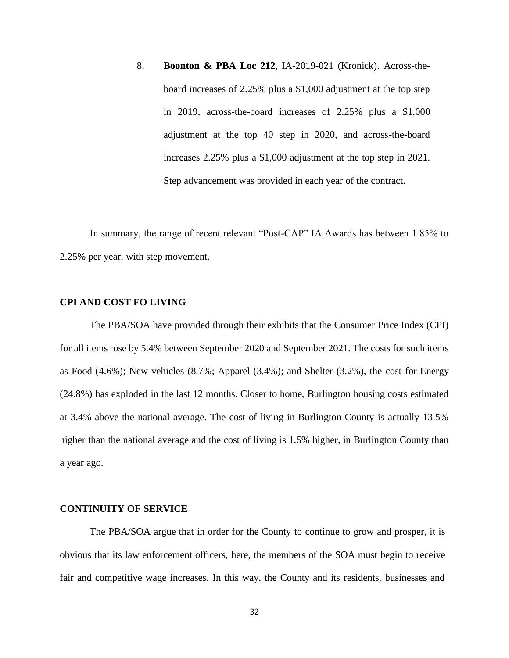8. **Boonton & PBA Loc 212**, IA-2019-021 (Kronick). Across-theboard increases of 2.25% plus a \$1,000 adjustment at the top step in 2019, across-the-board increases of 2.25% plus a \$1,000 adjustment at the top 40 step in 2020, and across-the-board increases 2.25% plus a \$1,000 adjustment at the top step in 2021. Step advancement was provided in each year of the contract.

In summary, the range of recent relevant "Post-CAP" IA Awards has between 1.85% to 2.25% per year, with step movement.

### **CPI AND COST FO LIVING**

The PBA/SOA have provided through their exhibits that the Consumer Price Index (CPI) for all items rose by 5.4% between September 2020 and September 2021. The costs for such items as Food (4.6%); New vehicles (8.7%; Apparel (3.4%); and Shelter (3.2%), the cost for Energy (24.8%) has exploded in the last 12 months. Closer to home, Burlington housing costs estimated at 3.4% above the national average. The cost of living in Burlington County is actually 13.5% higher than the national average and the cost of living is 1.5% higher, in Burlington County than a year ago.

#### **CONTINUITY OF SERVICE**

The PBA/SOA argue that in order for the County to continue to grow and prosper, it is obvious that its law enforcement officers, here, the members of the SOA must begin to receive fair and competitive wage increases. In this way, the County and its residents, businesses and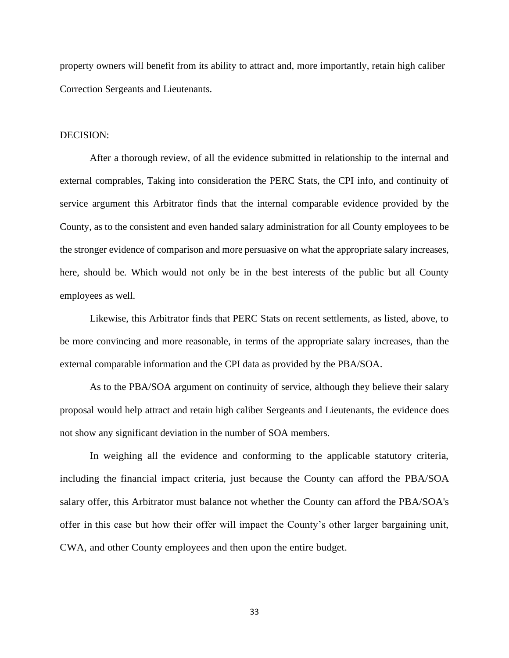property owners will benefit from its ability to attract and, more importantly, retain high caliber Correction Sergeants and Lieutenants.

#### DECISION:

After a thorough review, of all the evidence submitted in relationship to the internal and external comprables, Taking into consideration the PERC Stats, the CPI info, and continuity of service argument this Arbitrator finds that the internal comparable evidence provided by the County, as to the consistent and even handed salary administration for all County employees to be the stronger evidence of comparison and more persuasive on what the appropriate salary increases, here, should be. Which would not only be in the best interests of the public but all County employees as well.

Likewise, this Arbitrator finds that PERC Stats on recent settlements, as listed, above, to be more convincing and more reasonable, in terms of the appropriate salary increases, than the external comparable information and the CPI data as provided by the PBA/SOA.

As to the PBA/SOA argument on continuity of service, although they believe their salary proposal would help attract and retain high caliber Sergeants and Lieutenants, the evidence does not show any significant deviation in the number of SOA members.

In weighing all the evidence and conforming to the applicable statutory criteria, including the financial impact criteria, just because the County can afford the PBA/SOA salary offer, this Arbitrator must balance not whether the County can afford the PBA/SOA's offer in this case but how their offer will impact the County's other larger bargaining unit, CWA, and other County employees and then upon the entire budget.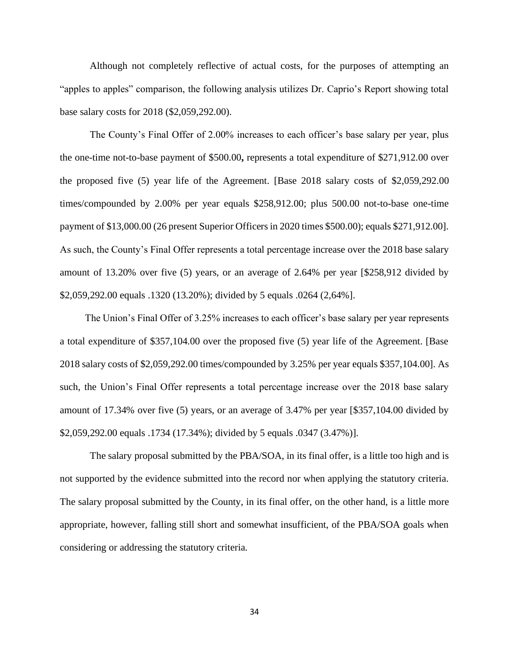Although not completely reflective of actual costs, for the purposes of attempting an "apples to apples" comparison, the following analysis utilizes Dr. Caprio's Report showing total base salary costs for 2018 (\$2,059,292.00).

The County's Final Offer of 2.00% increases to each officer's base salary per year, plus the one-time not-to-base payment of \$500.00**,** represents a total expenditure of \$271,912.00 over the proposed five (5) year life of the Agreement. [Base 2018 salary costs of \$2,059,292.00 times/compounded by 2.00% per year equals \$258,912.00; plus 500.00 not-to-base one-time payment of \$13,000.00 (26 present Superior Officers in 2020 times \$500.00); equals \$271,912.00]. As such, the County's Final Offer represents a total percentage increase over the 2018 base salary amount of 13.20% over five (5) years, or an average of 2.64% per year [\$258,912 divided by \$2,059,292.00 equals .1320 (13.20%); divided by 5 equals .0264 (2,64%].

 The Union's Final Offer of 3.25% increases to each officer's base salary per year represents a total expenditure of \$357,104.00 over the proposed five (5) year life of the Agreement. [Base 2018 salary costs of \$2,059,292.00 times/compounded by 3.25% per year equals \$357,104.00]. As such, the Union's Final Offer represents a total percentage increase over the 2018 base salary amount of 17.34% over five (5) years, or an average of 3.47% per year [\$357,104.00 divided by \$2,059,292.00 equals .1734 (17.34%); divided by 5 equals .0347 (3.47%)].

The salary proposal submitted by the PBA/SOA, in its final offer, is a little too high and is not supported by the evidence submitted into the record nor when applying the statutory criteria. The salary proposal submitted by the County, in its final offer, on the other hand, is a little more appropriate, however, falling still short and somewhat insufficient, of the PBA/SOA goals when considering or addressing the statutory criteria.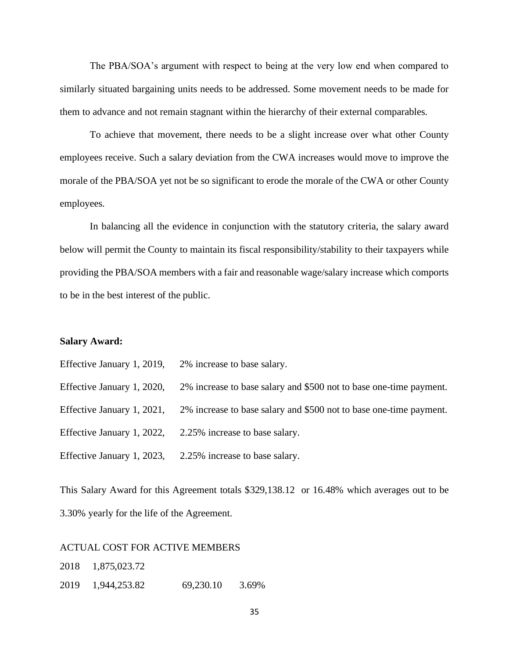The PBA/SOA's argument with respect to being at the very low end when compared to similarly situated bargaining units needs to be addressed. Some movement needs to be made for them to advance and not remain stagnant within the hierarchy of their external comparables.

To achieve that movement, there needs to be a slight increase over what other County employees receive. Such a salary deviation from the CWA increases would move to improve the morale of the PBA/SOA yet not be so significant to erode the morale of the CWA or other County employees.

In balancing all the evidence in conjunction with the statutory criteria, the salary award below will permit the County to maintain its fiscal responsibility/stability to their taxpayers while providing the PBA/SOA members with a fair and reasonable wage/salary increase which comports to be in the best interest of the public.

#### **Salary Award:**

Effective January 1, 2019, 2% increase to base salary.

Effective January 1, 2020, 2% increase to base salary and \$500 not to base one-time payment.

Effective January 1, 2021, 2% increase to base salary and \$500 not to base one-time payment.

Effective January 1, 2022, 2.25% increase to base salary.

Effective January 1, 2023, 2.25% increase to base salary.

This Salary Award for this Agreement totals \$329,138.12 or 16.48% which averages out to be 3.30% yearly for the life of the Agreement.

#### ACTUAL COST FOR ACTIVE MEMBERS

2018 1,875,023.72

2019 1,944,253.82 69,230.10 3.69%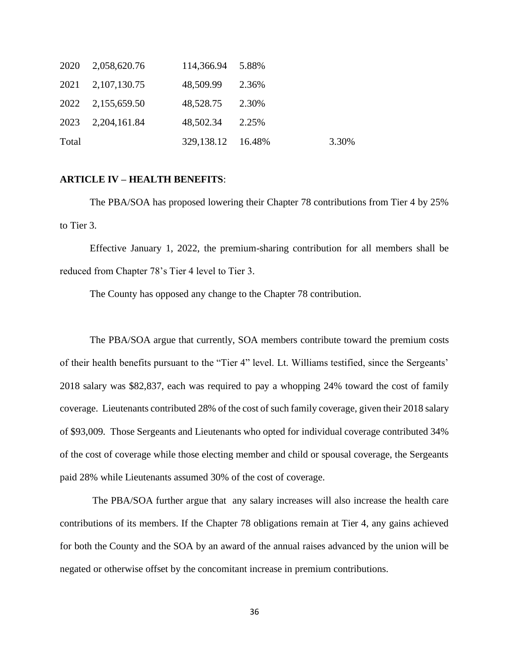|       | 2020 2,058,620.76 | 114,366.94 5.88%     |       |       |
|-------|-------------------|----------------------|-------|-------|
|       | 2021 2,107,130.75 | 48,509.99            | 2.36% |       |
|       | 2022 2,155,659.50 | 48,528.75 2.30%      |       |       |
|       | 2023 2,204,161.84 | 48,502.34            | 2.25% |       |
| Total |                   | 329, 138. 12 16. 48% |       | 3.30% |

### **ARTICLE IV – HEALTH BENEFITS**:

The PBA/SOA has proposed lowering their Chapter 78 contributions from Tier 4 by 25% to Tier 3.

Effective January 1, 2022, the premium-sharing contribution for all members shall be reduced from Chapter 78's Tier 4 level to Tier 3.

The County has opposed any change to the Chapter 78 contribution.

The PBA/SOA argue that currently, SOA members contribute toward the premium costs of their health benefits pursuant to the "Tier 4" level. Lt. Williams testified, since the Sergeants' 2018 salary was \$82,837, each was required to pay a whopping 24% toward the cost of family coverage. Lieutenants contributed 28% of the cost of such family coverage, given their 2018 salary of \$93,009. Those Sergeants and Lieutenants who opted for individual coverage contributed 34% of the cost of coverage while those electing member and child or spousal coverage, the Sergeants paid 28% while Lieutenants assumed 30% of the cost of coverage.

 The PBA/SOA further argue that any salary increases will also increase the health care contributions of its members. If the Chapter 78 obligations remain at Tier 4, any gains achieved for both the County and the SOA by an award of the annual raises advanced by the union will be negated or otherwise offset by the concomitant increase in premium contributions.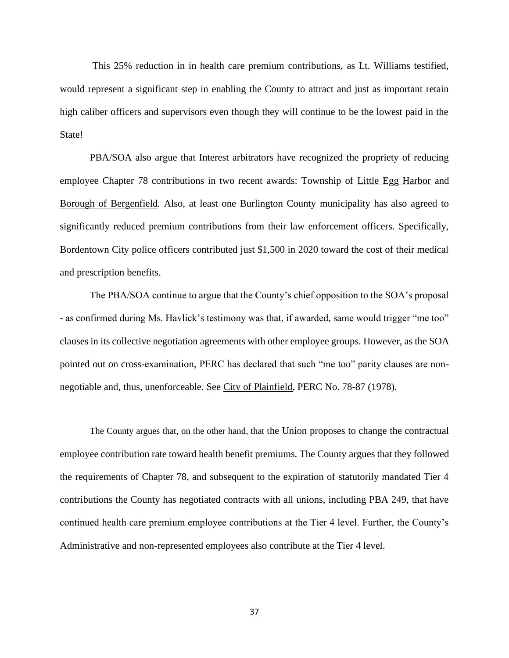This 25% reduction in in health care premium contributions, as Lt. Williams testified, would represent a significant step in enabling the County to attract and just as important retain high caliber officers and supervisors even though they will continue to be the lowest paid in the State!

 PBA/SOA also argue that Interest arbitrators have recognized the propriety of reducing employee Chapter 78 contributions in two recent awards: Township of Little Egg Harbor and Borough of Bergenfield. Also, at least one Burlington County municipality has also agreed to significantly reduced premium contributions from their law enforcement officers. Specifically, Bordentown City police officers contributed just \$1,500 in 2020 toward the cost of their medical and prescription benefits.

 The PBA/SOA continue to argue that the County's chief opposition to the SOA's proposal - as confirmed during Ms. Havlick's testimony was that, if awarded, same would trigger "me too" clauses in its collective negotiation agreements with other employee groups. However, as the SOA pointed out on cross-examination, PERC has declared that such "me too" parity clauses are nonnegotiable and, thus, unenforceable. See City of Plainfield, PERC No. 78-87 (1978).

The County argues that, on the other hand, that the Union proposes to change the contractual employee contribution rate toward health benefit premiums. The County argues that they followed the requirements of Chapter 78, and subsequent to the expiration of statutorily mandated Tier 4 contributions the County has negotiated contracts with all unions, including PBA 249, that have continued health care premium employee contributions at the Tier 4 level. Further, the County's Administrative and non-represented employees also contribute at the Tier 4 level.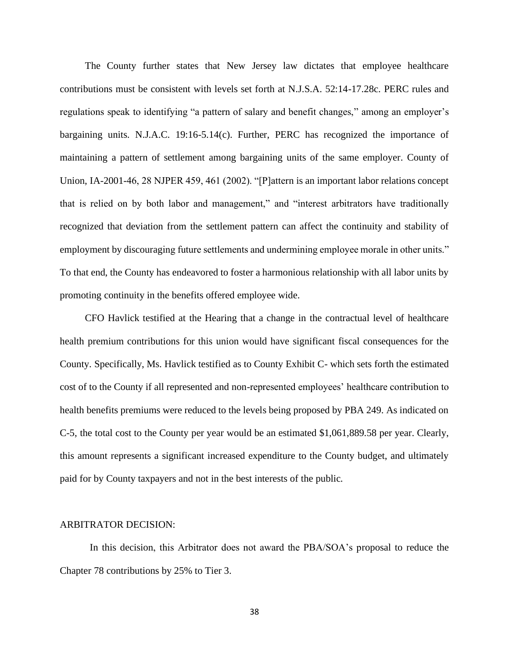The County further states that New Jersey law dictates that employee healthcare contributions must be consistent with levels set forth at N.J.S.A. 52:14-17.28c. PERC rules and regulations speak to identifying "a pattern of salary and benefit changes," among an employer's bargaining units. N.J.A.C. 19:16-5.14(c). Further, PERC has recognized the importance of maintaining a pattern of settlement among bargaining units of the same employer. County of Union, IA-2001-46, 28 NJPER 459, 461 (2002). "[P]attern is an important labor relations concept that is relied on by both labor and management," and "interest arbitrators have traditionally recognized that deviation from the settlement pattern can affect the continuity and stability of employment by discouraging future settlements and undermining employee morale in other units." To that end, the County has endeavored to foster a harmonious relationship with all labor units by promoting continuity in the benefits offered employee wide.

 CFO Havlick testified at the Hearing that a change in the contractual level of healthcare health premium contributions for this union would have significant fiscal consequences for the County. Specifically, Ms. Havlick testified as to County Exhibit C- which sets forth the estimated cost of to the County if all represented and non-represented employees' healthcare contribution to health benefits premiums were reduced to the levels being proposed by PBA 249. As indicated on C-5, the total cost to the County per year would be an estimated \$1,061,889.58 per year. Clearly, this amount represents a significant increased expenditure to the County budget, and ultimately paid for by County taxpayers and not in the best interests of the public.

#### ARBITRATOR DECISION:

In this decision, this Arbitrator does not award the PBA/SOA's proposal to reduce the Chapter 78 contributions by 25% to Tier 3.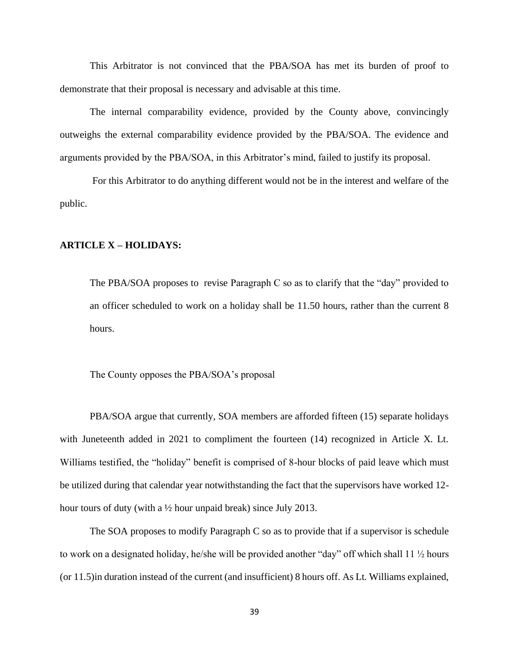This Arbitrator is not convinced that the PBA/SOA has met its burden of proof to demonstrate that their proposal is necessary and advisable at this time.

The internal comparability evidence, provided by the County above, convincingly outweighs the external comparability evidence provided by the PBA/SOA. The evidence and arguments provided by the PBA/SOA, in this Arbitrator's mind, failed to justify its proposal.

For this Arbitrator to do anything different would not be in the interest and welfare of the public.

### **ARTICLE X – HOLIDAYS:**

The PBA/SOA proposes to revise Paragraph C so as to clarify that the "day" provided to an officer scheduled to work on a holiday shall be 11.50 hours, rather than the current 8 hours.

The County opposes the PBA/SOA's proposal

PBA/SOA argue that currently, SOA members are afforded fifteen (15) separate holidays with Juneteenth added in 2021 to compliment the fourteen (14) recognized in Article X. Lt. Williams testified, the "holiday" benefit is comprised of 8-hour blocks of paid leave which must be utilized during that calendar year notwithstanding the fact that the supervisors have worked 12 hour tours of duty (with a  $\frac{1}{2}$  hour unpaid break) since July 2013.

 The SOA proposes to modify Paragraph C so as to provide that if a supervisor is schedule to work on a designated holiday, he/she will be provided another "day" off which shall 11 ½ hours (or 11.5)in duration instead of the current (and insufficient) 8 hours off. As Lt. Williams explained,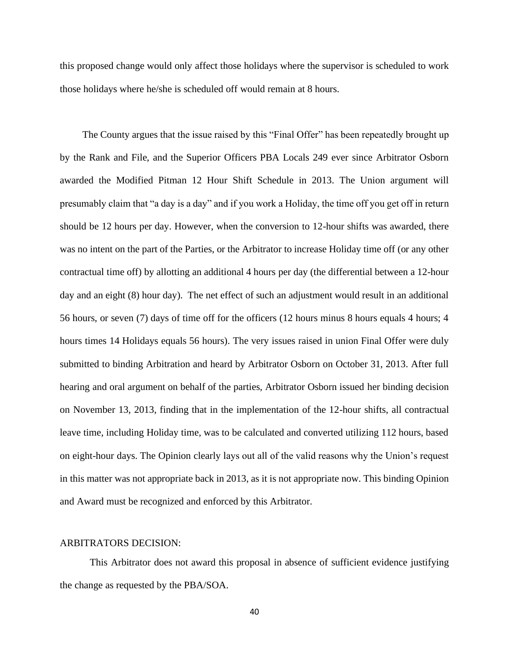this proposed change would only affect those holidays where the supervisor is scheduled to work those holidays where he/she is scheduled off would remain at 8 hours.

 The County argues that the issue raised by this "Final Offer" has been repeatedly brought up by the Rank and File, and the Superior Officers PBA Locals 249 ever since Arbitrator Osborn awarded the Modified Pitman 12 Hour Shift Schedule in 2013. The Union argument will presumably claim that "a day is a day" and if you work a Holiday, the time off you get off in return should be 12 hours per day. However, when the conversion to 12-hour shifts was awarded, there was no intent on the part of the Parties, or the Arbitrator to increase Holiday time off (or any other contractual time off) by allotting an additional 4 hours per day (the differential between a 12-hour day and an eight (8) hour day). The net effect of such an adjustment would result in an additional 56 hours, or seven (7) days of time off for the officers (12 hours minus 8 hours equals 4 hours; 4 hours times 14 Holidays equals 56 hours). The very issues raised in union Final Offer were duly submitted to binding Arbitration and heard by Arbitrator Osborn on October 31, 2013. After full hearing and oral argument on behalf of the parties, Arbitrator Osborn issued her binding decision on November 13, 2013, finding that in the implementation of the 12-hour shifts, all contractual leave time, including Holiday time, was to be calculated and converted utilizing 112 hours, based on eight-hour days. The Opinion clearly lays out all of the valid reasons why the Union's request in this matter was not appropriate back in 2013, as it is not appropriate now. This binding Opinion and Award must be recognized and enforced by this Arbitrator.

#### ARBITRATORS DECISION:

This Arbitrator does not award this proposal in absence of sufficient evidence justifying the change as requested by the PBA/SOA.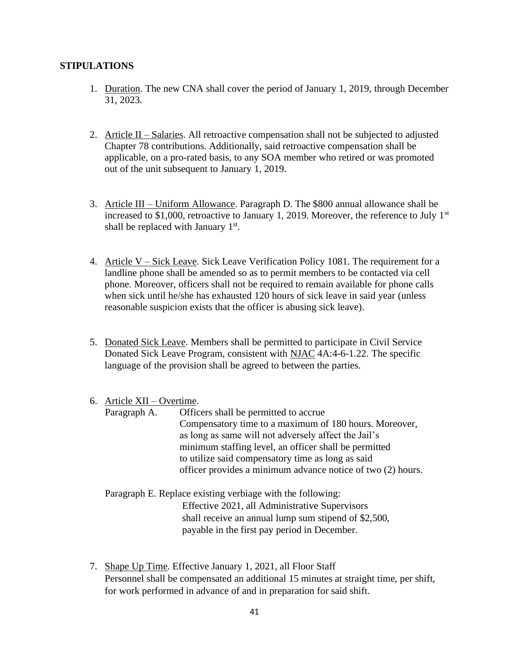# **STIPULATIONS**

- 1. Duration. The new CNA shall cover the period of January 1, 2019, through December 31, 2023.
- 2. Article II Salaries. All retroactive compensation shall not be subjected to adjusted Chapter 78 contributions. Additionally, said retroactive compensation shall be applicable, on a pro-rated basis, to any SOA member who retired or was promoted out of the unit subsequent to January 1, 2019.
- 3. Article III Uniform Allowance. Paragraph D. The \$800 annual allowance shall be increased to \$1,000, retroactive to January 1, 2019. Moreover, the reference to July  $1<sup>st</sup>$ shall be replaced with January  $1<sup>st</sup>$ .
- 4. Article V Sick Leave. Sick Leave Verification Policy 1081. The requirement for a landline phone shall be amended so as to permit members to be contacted via cell phone. Moreover, officers shall not be required to remain available for phone calls when sick until he/she has exhausted 120 hours of sick leave in said year (unless reasonable suspicion exists that the officer is abusing sick leave).
- 5. Donated Sick Leave. Members shall be permitted to participate in Civil Service Donated Sick Leave Program, consistent with NJAC 4A:4-6-1.22. The specific language of the provision shall be agreed to between the parties.

# 6. Article XII – Overtime.

- Paragraph A. Officers shall be permitted to accrue Compensatory time to a maximum of 180 hours. Moreover, as long as same will not adversely affect the Jail's minimum staffing level, an officer shall be permitted to utilize said compensatory time as long as said officer provides a minimum advance notice of two (2) hours.
- Paragraph E. Replace existing verbiage with the following: Effective 2021, all Administrative Supervisors shall receive an annual lump sum stipend of \$2,500, payable in the first pay period in December.
- 7. Shape Up Time. Effective January 1, 2021, all Floor Staff Personnel shall be compensated an additional 15 minutes at straight time, per shift, for work performed in advance of and in preparation for said shift.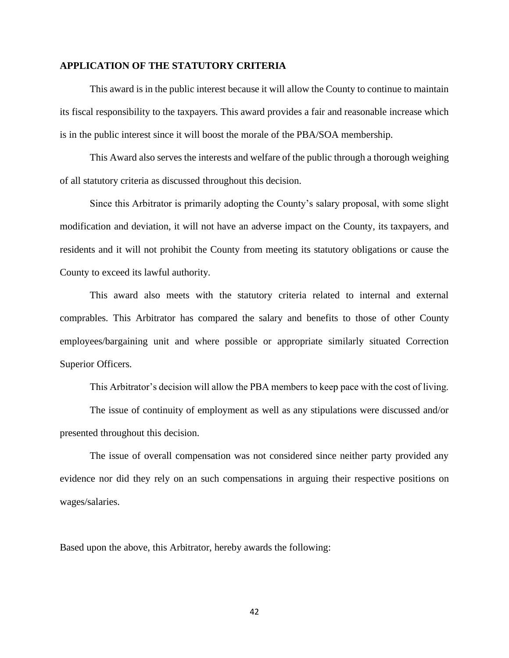#### **APPLICATION OF THE STATUTORY CRITERIA**

This award is in the public interest because it will allow the County to continue to maintain its fiscal responsibility to the taxpayers. This award provides a fair and reasonable increase which is in the public interest since it will boost the morale of the PBA/SOA membership.

This Award also serves the interests and welfare of the public through a thorough weighing of all statutory criteria as discussed throughout this decision.

Since this Arbitrator is primarily adopting the County's salary proposal, with some slight modification and deviation, it will not have an adverse impact on the County, its taxpayers, and residents and it will not prohibit the County from meeting its statutory obligations or cause the County to exceed its lawful authority.

This award also meets with the statutory criteria related to internal and external comprables. This Arbitrator has compared the salary and benefits to those of other County employees/bargaining unit and where possible or appropriate similarly situated Correction Superior Officers.

This Arbitrator's decision will allow the PBA members to keep pace with the cost of living.

The issue of continuity of employment as well as any stipulations were discussed and/or presented throughout this decision.

The issue of overall compensation was not considered since neither party provided any evidence nor did they rely on an such compensations in arguing their respective positions on wages/salaries.

Based upon the above, this Arbitrator, hereby awards the following:

42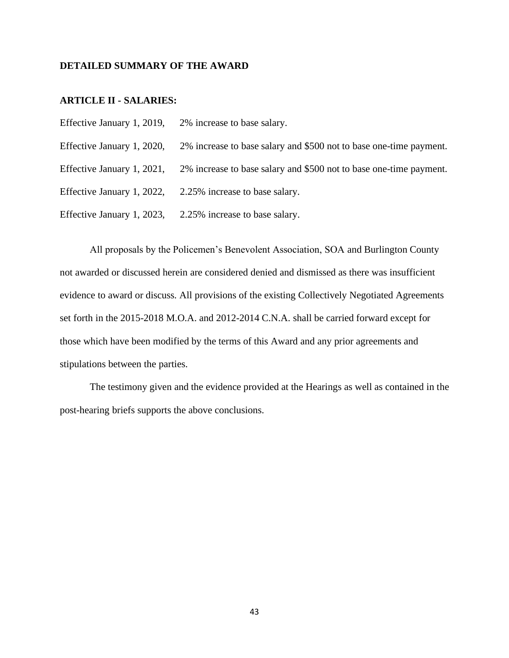### **DETAILED SUMMARY OF THE AWARD**

### **ARTICLE II - SALARIES:**

Effective January 1, 2019, 2% increase to base salary. Effective January 1, 2020, 2% increase to base salary and \$500 not to base one-time payment. Effective January 1, 2021, 2% increase to base salary and \$500 not to base one-time payment. Effective January 1, 2022, 2.25% increase to base salary. Effective January 1, 2023, 2.25% increase to base salary.

All proposals by the Policemen's Benevolent Association, SOA and Burlington County not awarded or discussed herein are considered denied and dismissed as there was insufficient evidence to award or discuss. All provisions of the existing Collectively Negotiated Agreements set forth in the 2015-2018 M.O.A. and 2012-2014 C.N.A. shall be carried forward except for those which have been modified by the terms of this Award and any prior agreements and stipulations between the parties.

The testimony given and the evidence provided at the Hearings as well as contained in the post-hearing briefs supports the above conclusions.